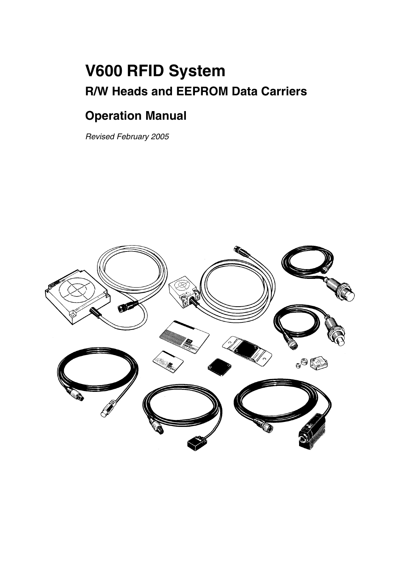# **V600 RFID System R/W Heads and EEPROM Data Carriers**

## **Operation Manual**

*Revised February 2005*

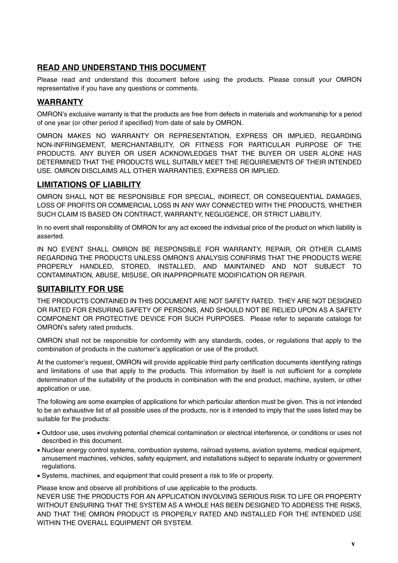### **READ AND UNDERSTAND THIS DOCUMENT**

Please read and understand this document before using the products. Please consult your OMRON representative if you have any questions or comments.

#### **WARRANTY**

OMRON's exclusive warranty is that the products are free from defects in materials and workmanship for a period of one year (or other period if specified) from date of sale by OMRON.

OMRON MAKES NO WARRANTY OR REPRESENTATION, EXPRESS OR IMPLIED, REGARDING NON-INFRINGEMENT, MERCHANTABILITY, OR FITNESS FOR PARTICULAR PURPOSE OF THE PRODUCTS. ANY BUYER OR USER ACKNOWLEDGES THAT THE BUYER OR USER ALONE HAS DETERMINED THAT THE PRODUCTS WILL SUITABLY MEET THE REQUIREMENTS OF THEIR INTENDED USE. OMRON DISCLAIMS ALL OTHER WARRANTIES, EXPRESS OR IMPLIED.

### **LIMITATIONS OF LIABILITY**

OMRON SHALL NOT BE RESPONSIBLE FOR SPECIAL, INDIRECT, OR CONSEQUENTIAL DAMAGES, LOSS OF PROFITS OR COMMERCIAL LOSS IN ANY WAY CONNECTED WITH THE PRODUCTS, WHETHER SUCH CLAIM IS BASED ON CONTRACT, WARRANTY, NEGLIGENCE, OR STRICT LIABILITY.

In no event shall responsibility of OMRON for any act exceed the individual price of the product on which liability is asserted.

IN NO EVENT SHALL OMRON BE RESPONSIBLE FOR WARRANTY, REPAIR, OR OTHER CLAIMS REGARDING THE PRODUCTS UNLESS OMRON'S ANALYSIS CONFIRMS THAT THE PRODUCTS WERE PROPERLY HANDLED, STORED, INSTALLED, AND MAINTAINED AND NOT SUBJECT TO CONTAMINATION, ABUSE, MISUSE, OR INAPPROPRIATE MODIFICATION OR REPAIR.

#### **SUITABILITY FOR USE**

THE PRODUCTS CONTAINED IN THIS DOCUMENT ARE NOT SAFETY RATED. THEY ARE NOT DESIGNED OR RATED FOR ENSURING SAFETY OF PERSONS, AND SHOULD NOT BE RELIED UPON AS A SAFETY COMPONENT OR PROTECTIVE DEVICE FOR SUCH PURPOSES. Please refer to separate catalogs for OMRON's safety rated products.

OMRON shall not be responsible for conformity with any standards, codes, or regulations that apply to the combination of products in the customer's application or use of the product.

At the customer's request, OMRON will provide applicable third party certification documents identifying ratings and limitations of use that apply to the products. This information by itself is not sufficient for a complete determination of the suitability of the products in combination with the end product, machine, system, or other application or use.

The following are some examples of applications for which particular attention must be given. This is not intended to be an exhaustive list of all possible uses of the products, nor is it intended to imply that the uses listed may be suitable for the products:

- Outdoor use, uses involving potential chemical contamination or electrical interference, or conditions or uses not described in this document.
- Nuclear energy control systems, combustion systems, railroad systems, aviation systems, medical equipment, amusement machines, vehicles, safety equipment, and installations subject to separate industry or government regulations.
- Systems, machines, and equipment that could present a risk to life or property.

Please know and observe all prohibitions of use applicable to the products.

NEVER USE THE PRODUCTS FOR AN APPLICATION INVOLVING SERIOUS RISK TO LIFE OR PROPERTY WITHOUT ENSURING THAT THE SYSTEM AS A WHOLE HAS BEEN DESIGNED TO ADDRESS THE RISKS, AND THAT THE OMRON PRODUCT IS PROPERLY RATED AND INSTALLED FOR THE INTENDED USE WITHIN THE OVERALL EQUIPMENT OR SYSTEM.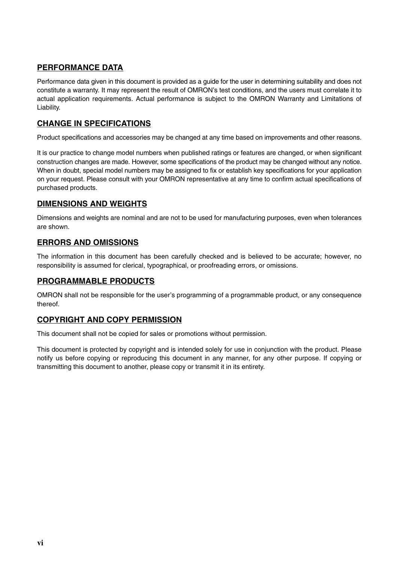### **PERFORMANCE DATA**

Performance data given in this document is provided as a guide for the user in determining suitability and does not constitute a warranty. It may represent the result of OMRON's test conditions, and the users must correlate it to actual application requirements. Actual performance is subject to the OMRON Warranty and Limitations of Liability.

#### **CHANGE IN SPECIFICATIONS**

Product specifications and accessories may be changed at any time based on improvements and other reasons.

It is our practice to change model numbers when published ratings or features are changed, or when significant construction changes are made. However, some specifications of the product may be changed without any notice. When in doubt, special model numbers may be assigned to fix or establish key specifications for your application on your request. Please consult with your OMRON representative at any time to confirm actual specifications of purchased products.

#### **DIMENSIONS AND WEIGHTS**

Dimensions and weights are nominal and are not to be used for manufacturing purposes, even when tolerances are shown.

#### **ERRORS AND OMISSIONS**

The information in this document has been carefully checked and is believed to be accurate; however, no responsibility is assumed for clerical, typographical, or proofreading errors, or omissions.

#### **PROGRAMMABLE PRODUCTS**

OMRON shall not be responsible for the user's programming of a programmable product, or any consequence thereof.

#### **COPYRIGHT AND COPY PERMISSION**

This document shall not be copied for sales or promotions without permission.

This document is protected by copyright and is intended solely for use in conjunction with the product. Please notify us before copying or reproducing this document in any manner, for any other purpose. If copying or transmitting this document to another, please copy or transmit it in its entirety.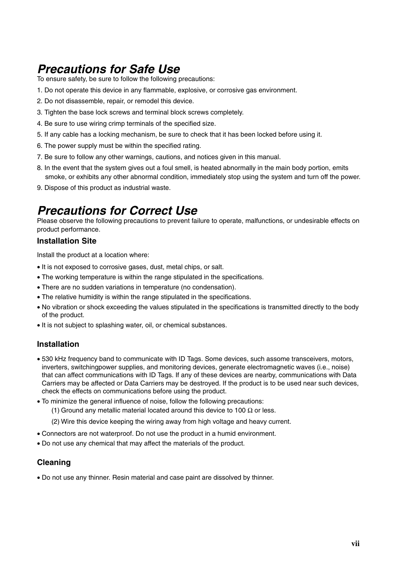## *Precautions for Safe Use*

To ensure safety, be sure to follow the following precautions:

- 1. Do not operate this device in any flammable, explosive, or corrosive gas environment.
- 2. Do not disassemble, repair, or remodel this device.
- 3. Tighten the base lock screws and terminal block screws completely.
- 4. Be sure to use wiring crimp terminals of the specified size.
- 5. If any cable has a locking mechanism, be sure to check that it has been locked before using it.
- 6. The power supply must be within the specified rating.
- 7. Be sure to follow any other warnings, cautions, and notices given in this manual.
- 8. In the event that the system gives out a foul smell, is heated abnormally in the main body portion, emits smoke, or exhibits any other abnormal condition, immediately stop using the system and turn off the power.
- 9. Dispose of this product as industrial waste.

## *Precautions for Correct Use*

Please observe the following precautions to prevent failure to operate, malfunctions, or undesirable effects on product performance.

#### **Installation Site**

Install the product at a location where:

- It is not exposed to corrosive gases, dust, metal chips, or salt.
- The working temperature is within the range stipulated in the specifications.
- There are no sudden variations in temperature (no condensation).
- The relative humidity is within the range stipulated in the specifications.
- No vibration or shock exceeding the values stipulated in the specifications is transmitted directly to the body of the product.
- It is not subject to splashing water, oil, or chemical substances.

#### **Installation**

- 530 kHz frequency band to communicate with ID Tags. Some devices, such assome transceivers, motors, inverters, switchingpower supplies, and monitoring devices, generate electromagnetic waves (i.e., noise) that can affect communications with ID Tags. If any of these devices are nearby, communications with Data Carriers may be affected or Data Carriers may be destroyed. If the product is to be used near such devices, check the effects on communications before using the product.
- To minimize the general influence of noise, follow the following precautions:
	- (1) Ground any metallic material located around this device to 100  $\Omega$  or less.
	- (2) Wire this device keeping the wiring away from high voltage and heavy current.
- Connectors are not waterproof. Do not use the product in a humid environment.
- Do not use any chemical that may affect the materials of the product.

#### **Cleaning**

• Do not use any thinner. Resin material and case paint are dissolved by thinner.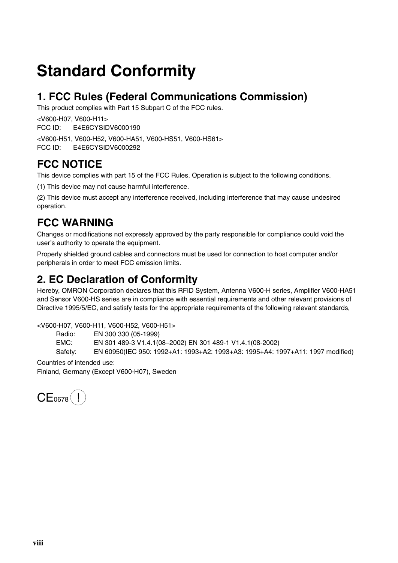# **Standard Conformity**

## **1. FCC Rules (Federal Communications Commission)**

This product complies with Part 15 Subpart C of the FCC rules.

<V600-H07, V600-H11> FCC ID: E4E6CYSIDV6000190

<V600-H51, V600-H52, V600-HA51, V600-HS51, V600-HS61>

FCC ID: E4E6CYSIDV6000292

## **FCC NOTICE**

This device complies with part 15 of the FCC Rules. Operation is subject to the following conditions.

(1) This device may not cause harmful interference.

(2) This device must accept any interference received, including interference that may cause undesired operation.

## **FCC WARNING**

Changes or modifications not expressly approved by the party responsible for compliance could void the user's authority to operate the equipment.

Properly shielded ground cables and connectors must be used for connection to host computer and/or peripherals in order to meet FCC emission limits.

## **2. EC Declaration of Conformity**

Hereby, OMRON Corporation declares that this RFID System, Antenna V600-H series, Amplifier V600-HA51 and Sensor V600-HS series are in compliance with essential requirements and other relevant provisions of Directive 1995/5/EC, and satisfy tests for the appropriate requirements of the following relevant standards,

<V600-H07, V600-H11, V600-H52, V600-H51>

Radio: EN 300 330 (05-1999)

EMC: EN 301 489-3 V1.4.1(08–2002) EN 301 489-1 V1.4.1(08-2002)

Safety: EN 60950(IEC 950: 1992+A1: 1993+A2: 1993+A3: 1995+A4: 1997+A11: 1997 modified)

Countries of intended use: Finland, Germany (Except V600-H07), Sweden

 $CE<sub>0678</sub>(!)$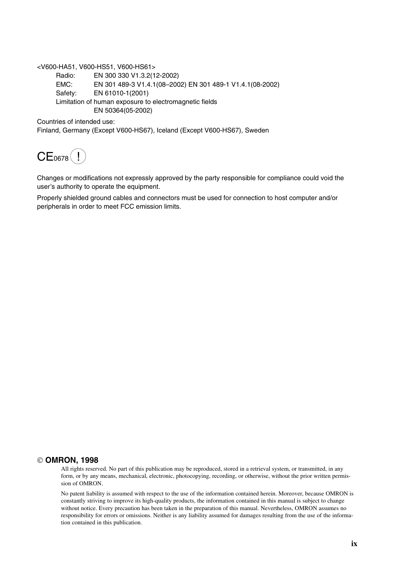<V600-HA51, V600-HS51, V600-HS61>

Radio: EN 300 330 V1.3.2(12-2002) EMC: EN 301 489-3 V1.4.1(08–2002) EN 301 489-1 V1.4.1(08-2002) Safety: EN 61010-1(2001) Limitation of human exposure to electromagnetic fields EN 50364(05-2002)

Countries of intended use:

Finland, Germany (Except V600-HS67), Iceland (Except V600-HS67), Sweden

 $CE<sub>0678</sub>(!)$ 

Changes or modifications not expressly approved by the party responsible for compliance could void the user's authority to operate the equipment.

Properly shielded ground cables and connectors must be used for connection to host computer and/or peripherals in order to meet FCC emission limits.

#### **OMRON, 1998**

All rights reserved. No part of this publication may be reproduced, stored in a retrieval system, or transmitted, in any form, or by any means, mechanical, electronic, photocopying, recording, or otherwise, without the prior written permission of OMRON.

No patent liability is assumed with respect to the use of the information contained herein. Moreover, because OMRON is constantly striving to improve its high-quality products, the information contained in this manual is subject to change without notice. Every precaution has been taken in the preparation of this manual. Nevertheless, OMRON assumes no responsibility for errors or omissions. Neither is any liability assumed for damages resulting from the use of the information contained in this publication.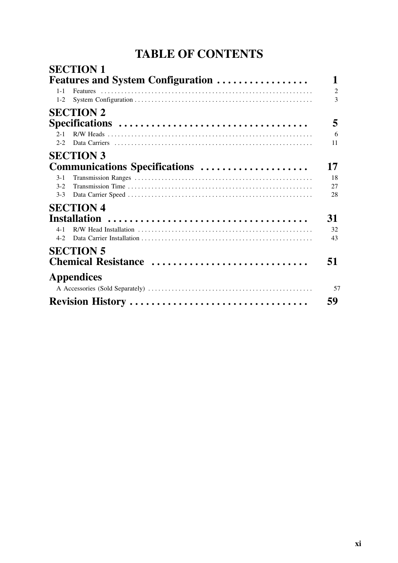## **TABLE OF CONTENTS**

|                    | <b>SECTION 1</b><br><b>Features and System Configuration </b> | 1                                |
|--------------------|---------------------------------------------------------------|----------------------------------|
| $1 - 1$<br>$1 - 2$ |                                                               | $\overline{2}$<br>$\overline{3}$ |
|                    | <b>SECTION 2</b>                                              |                                  |
|                    |                                                               | 5                                |
| $2 - 1$<br>$2 - 2$ |                                                               | 6<br>11                          |
|                    | <b>SECTION 3</b>                                              |                                  |
|                    | Communications Specifications                                 | 17                               |
| $3 - 1$            |                                                               | 18                               |
| $3 - 2$<br>$3-3$   |                                                               | 27<br>28                         |
|                    | <b>SECTION 4</b>                                              |                                  |
|                    |                                                               | 31                               |
| $4 - 1$<br>$4 - 2$ |                                                               | 32<br>43                         |
|                    | <b>SECTION 5</b><br>Chemical Resistance                       | 51                               |
|                    | <b>Appendices</b>                                             | 57                               |
|                    | Revision History                                              | 59                               |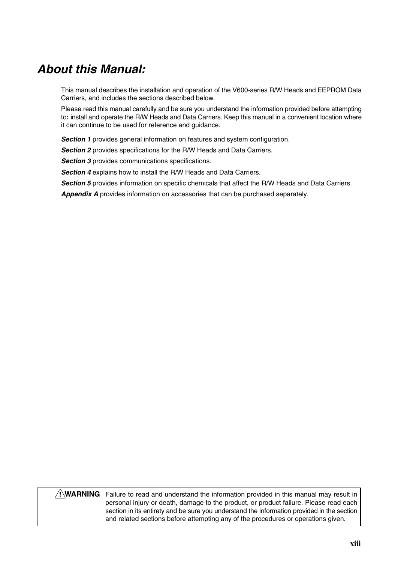## *About this Manual:*

This manual describes the installation and operation of the V600-series R/W Heads and EEPROM Data Carriers, and includes the sections described below.

Please read this manual carefully and be sure you understand the information provided before attempting to**:** install and operate the R/W Heads and Data Carriers. Keep this manual in a convenient location where it can continue to be used for reference and guidance.

**Section 1** provides general information on features and system configuration.

**Section 2** provides specifications for the R/W Heads and Data Carriers.

**Section 3** provides communications specifications.

*Section 4* explains how to install the R/W Heads and Data Carriers.

**Section 5** provides information on specific chemicals that affect the R/W Heads and Data Carriers.

*Appendix A* provides information on accessories that can be purchased separately.

#### **WARNING** Failure to read and understand the information provided in this manual may result in **!**personal injury or death, damage to the product, or product failure. Please read each section in its entirety and be sure you understand the information provided in the section and related sections before attempting any of the procedures or operations given.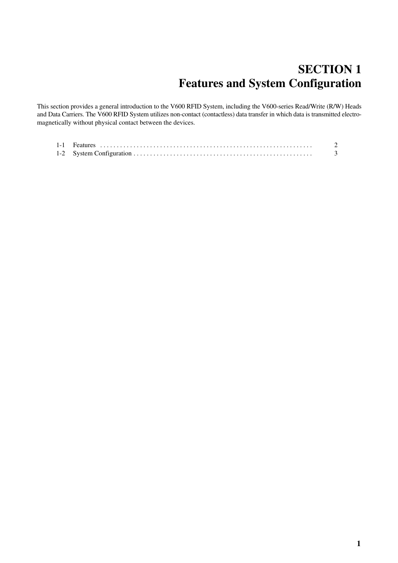## **SECTION 1 Features and System Configuration**

This section provides a general introduction to the V600 RFID System, including the V600-series Read/Write (R/W) Heads and Data Carriers. The V600 RFID System utilizes non-contact (contactless) data transfer in which data is transmitted electromagnetically without physical contact between the devices.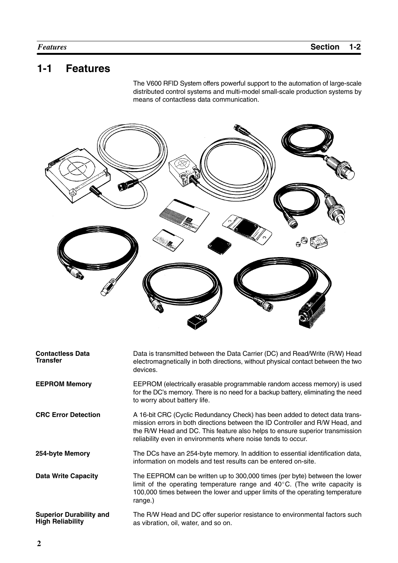## **1-1 Features**

The V600 RFID System offers powerful support to the automation of large-scale distributed control systems and multi-model small-scale production systems by means of contactless data communication.



| <b>Contactless Data</b><br><b>Transfer</b>                | Data is transmitted between the Data Carrier (DC) and Read/Write (R/W) Head<br>electromagnetically in both directions, without physical contact between the two<br>devices.                                                                                                                                  |
|-----------------------------------------------------------|--------------------------------------------------------------------------------------------------------------------------------------------------------------------------------------------------------------------------------------------------------------------------------------------------------------|
| <b>EEPROM Memory</b>                                      | EEPROM (electrically erasable programmable random access memory) is used<br>for the DC's memory. There is no need for a backup battery, eliminating the need<br>to worry about battery life.                                                                                                                 |
| <b>CRC Error Detection</b>                                | A 16-bit CRC (Cyclic Redundancy Check) has been added to detect data trans-<br>mission errors in both directions between the ID Controller and R/W Head, and<br>the R/W Head and DC. This feature also helps to ensure superior transmission<br>reliability even in environments where noise tends to occur. |
| 254-byte Memory                                           | The DCs have an 254-byte memory. In addition to essential identification data,<br>information on models and test results can be entered on-site.                                                                                                                                                             |
| <b>Data Write Capacity</b>                                | The EEPROM can be written up to 300,000 times (per byte) between the lower<br>limit of the operating temperature range and $40^{\circ}$ C. (The write capacity is<br>100,000 times between the lower and upper limits of the operating temperature<br>range.)                                                |
| <b>Superior Durability and</b><br><b>High Reliability</b> | The R/W Head and DC offer superior resistance to environmental factors such<br>as vibration, oil, water, and so on.                                                                                                                                                                                          |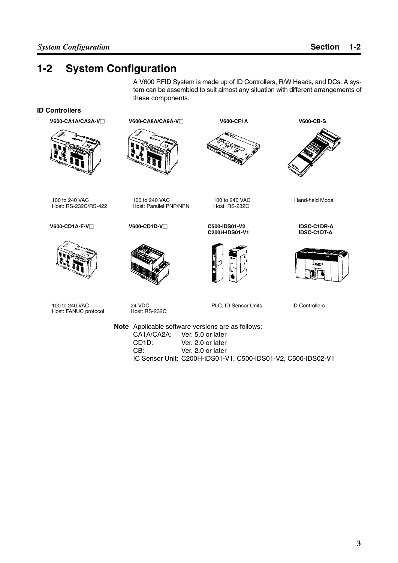## **1-2 System Configuration**

A V600 RFID System is made up of ID Controllers, R/W Heads, and DCs. A system can be assembled to suit almost any situation with different arrangements of these components.

#### **ID Controllers**

**V600-CA1A/CA2A-V** 



100 to 240 VAC Host: RS-232C/RS-422

**V600-CD1A-F-V**□



**V600-CD1D-V**□

100 to 240 VAC Host: Parallel PNP/NPN

**V600-CA8A/CA9A-V** $\Box$ 



**C200H-IDS01-V1**

**C500-IDS01-V2**



100 to 240 VAC Host: RS-232C

**V600-CF1A V600-CB-S**



Hand-held Model

**IDSC-C1DR-A IDSC-C1DT-A**



100 to 240 VAC Host: FANUC protocol

24 VDC Host: RS-232C PLC, ID Sensor Units ID Controllers

**Note** Applicable software versions are as follows: CA1A/CA2A: Ver. 5.0 or later<br>CD1D: Ver. 2.0 or later CD1D: Ver. 2.0 or later<br>CB: Ver. 2.0 or later Ver. 2.0 or later IC Sensor Unit: C200H-IDS01-V1, C500-IDS01-V2, C500-IDS02-V1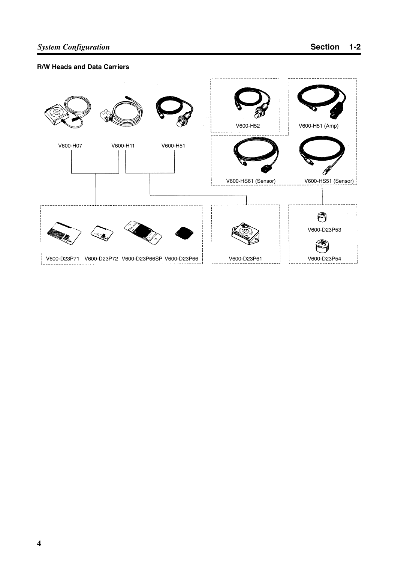## **System Configuration Section 1-2**

#### **R/W Heads and Data Carriers**

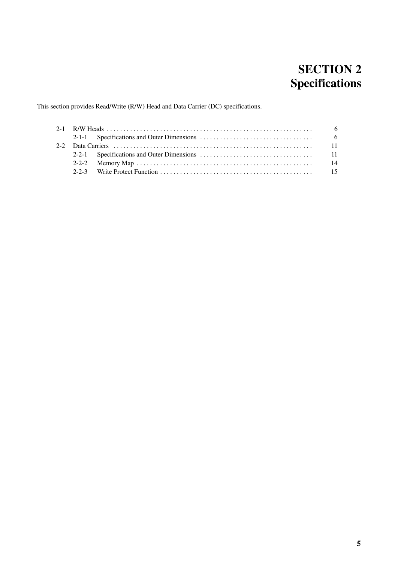## **SECTION 2 Specifications**

This section provides Read/Write (R/W) Head and Data Carrier (DC) specifications.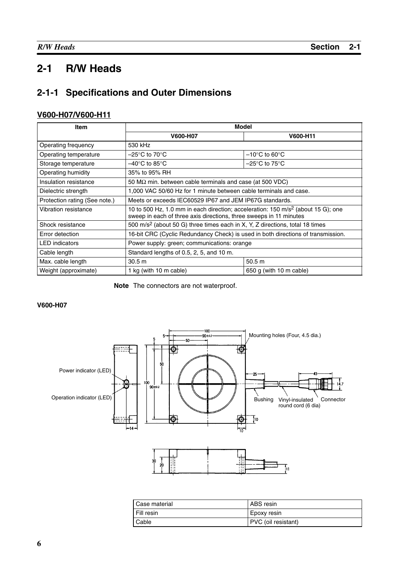## **2-1 R/W Heads**

## **2-1-1 Specifications and Outer Dimensions**

#### **V600-H07/V600-H11**

| Item                          | Model                                                                                                                                                              |                                    |  |
|-------------------------------|--------------------------------------------------------------------------------------------------------------------------------------------------------------------|------------------------------------|--|
|                               | <b>V600-H07</b>                                                                                                                                                    | V600-H11                           |  |
| Operating frequency           | 530 kHz                                                                                                                                                            |                                    |  |
| Operating temperature         | –25°C to 70°C.                                                                                                                                                     | $-10^{\circ}$ C to 60 $^{\circ}$ C |  |
| Storage temperature           | –40°C to 85°C.                                                                                                                                                     | $-25^{\circ}$ C to 75 $^{\circ}$ C |  |
| Operating humidity            | 35% to 95% RH                                                                                                                                                      |                                    |  |
| Insulation resistance         | 50 $\text{M}\Omega$ min. between cable terminals and case (at 500 VDC)                                                                                             |                                    |  |
| Dielectric strength           | 1,000 VAC 50/60 Hz for 1 minute between cable terminals and case.                                                                                                  |                                    |  |
| Protection rating (See note.) | Meets or exceeds IEC60529 IP67 and JEM IP67G standards.                                                                                                            |                                    |  |
| Vibration resistance          | 10 to 500 Hz, 1.0 mm in each direction; acceleration: 150 m/s <sup>2</sup> (about 15 G); one<br>sweep in each of three axis directions, three sweeps in 11 minutes |                                    |  |
| Shock resistance              | 500 m/s <sup>2</sup> (about 50 G) three times each in X, Y, Z directions, total 18 times                                                                           |                                    |  |
| Error detection               | 16-bit CRC (Cyclic Redundancy Check) is used in both directions of transmission.                                                                                   |                                    |  |
| <b>LED</b> indicators         | Power supply: green; communications: orange                                                                                                                        |                                    |  |
| Cable length                  | Standard lengths of 0.5, 2, 5, and 10 m.                                                                                                                           |                                    |  |
| Max. cable length             | 30.5 m                                                                                                                                                             | 50.5 m                             |  |
| Weight (approximate)          | 1 kg (with 10 m cable)                                                                                                                                             | 650 g (with 10 m cable)            |  |

**Note** The connectors are not waterproof.

#### **V600-H07**



| Case material | l ABS resin         |
|---------------|---------------------|
| Fill resin    | Epoxy resin         |
| Cable         | PVC (oil resistant) |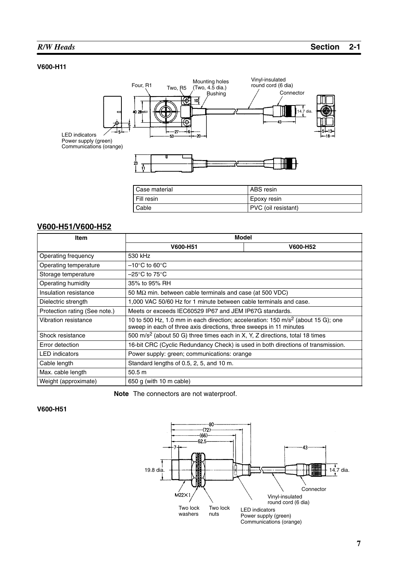#### **V600-H11**



| Case material | ABS resin           |
|---------------|---------------------|
| Fill resin    | Epoxy resin         |
| Cable         | PVC (oil resistant) |

#### **V600-H51/V600-H52**

| <b>Item</b>                                                                              | Model                                                                                                                                                              |          |  |
|------------------------------------------------------------------------------------------|--------------------------------------------------------------------------------------------------------------------------------------------------------------------|----------|--|
|                                                                                          | V600-H51                                                                                                                                                           | V600-H52 |  |
| Operating frequency                                                                      | 530 kHz                                                                                                                                                            |          |  |
| Operating temperature                                                                    | $-10^{\circ}$ C to 60 $^{\circ}$ C                                                                                                                                 |          |  |
| Storage temperature                                                                      | –25°C to 75°C                                                                                                                                                      |          |  |
| Operating humidity                                                                       | 35% to 95% RH                                                                                                                                                      |          |  |
| Insulation resistance                                                                    | 50 M $\Omega$ min. between cable terminals and case (at 500 VDC)                                                                                                   |          |  |
| Dielectric strength                                                                      | 1,000 VAC 50/60 Hz for 1 minute between cable terminals and case.                                                                                                  |          |  |
| Protection rating (See note.)<br>Meets or exceeds IEC60529 IP67 and JEM IP67G standards. |                                                                                                                                                                    |          |  |
| Vibration resistance                                                                     | 10 to 500 Hz, 1.0 mm in each direction; acceleration: 150 m/s <sup>2</sup> (about 15 G); one<br>sweep in each of three axis directions, three sweeps in 11 minutes |          |  |
| Shock resistance                                                                         | 500 m/s <sup>2</sup> (about 50 G) three times each in X, Y, Z directions, total 18 times                                                                           |          |  |
| Error detection                                                                          | 16-bit CRC (Cyclic Redundancy Check) is used in both directions of transmission.                                                                                   |          |  |
| <b>LED</b> indicators                                                                    | Power supply: green; communications: orange                                                                                                                        |          |  |
| Cable length                                                                             | Standard lengths of 0.5, 2, 5, and 10 m.                                                                                                                           |          |  |
| Max. cable length<br>50.5 <sub>m</sub>                                                   |                                                                                                                                                                    |          |  |
| Weight (approximate)                                                                     | 650 g (with 10 m cable)                                                                                                                                            |          |  |

**Note** The connectors are not waterproof.

#### **V600-H51**

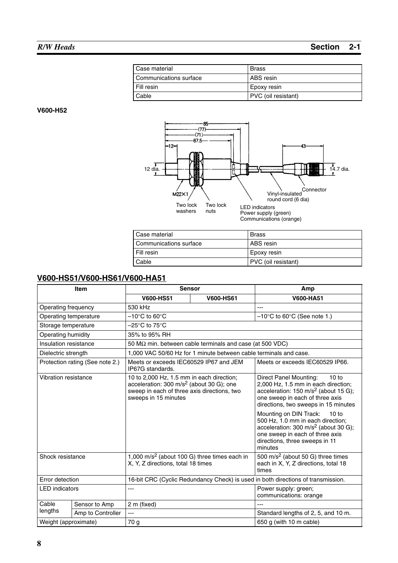| Case material          | Brass               |
|------------------------|---------------------|
| Communications surface | ABS resin           |
| l Fill resin           | Epoxy resin         |
| l Cable                | PVC (oil resistant) |

**V600-H52**



| Case material          | Brass               |
|------------------------|---------------------|
| Communications surface | l ABS resin         |
| l Fill resin           | Epoxy resin         |
| Cable                  | PVC (oil resistant) |

### **V600-HS51/V600-HS61/V600-HA51**

| <b>Item</b>           |                                 | <b>Sensor</b>                                                                                                                                                           |                                                                   | Amp                                                                                                                                                                                                      |
|-----------------------|---------------------------------|-------------------------------------------------------------------------------------------------------------------------------------------------------------------------|-------------------------------------------------------------------|----------------------------------------------------------------------------------------------------------------------------------------------------------------------------------------------------------|
|                       |                                 | <b>V600-HS51</b>                                                                                                                                                        | <b>V600-HS61</b>                                                  | V600-HA51                                                                                                                                                                                                |
| Operating frequency   |                                 | 530 kHz                                                                                                                                                                 |                                                                   | $\overline{a}$                                                                                                                                                                                           |
|                       | Operating temperature           | $-10^{\circ}$ C to 60 $^{\circ}$ C                                                                                                                                      |                                                                   | $-10^{\circ}$ C to 60 $^{\circ}$ C (See note 1.)                                                                                                                                                         |
| Storage temperature   |                                 | $-25^{\circ}$ C to 75 $^{\circ}$ C                                                                                                                                      |                                                                   |                                                                                                                                                                                                          |
| Operating humidity    |                                 | 35% to 95% RH                                                                                                                                                           |                                                                   |                                                                                                                                                                                                          |
| Insulation resistance |                                 |                                                                                                                                                                         | 50 M $\Omega$ min. between cable terminals and case (at 500 VDC)  |                                                                                                                                                                                                          |
| Dielectric strength   |                                 |                                                                                                                                                                         | 1,000 VAC 50/60 Hz for 1 minute between cable terminals and case. |                                                                                                                                                                                                          |
|                       | Protection rating (See note 2.) | Meets or exceeds IEC60529 IP67 and JEM<br>IP67G standards.                                                                                                              |                                                                   | Meets or exceeds IEC60529 IP66.                                                                                                                                                                          |
| Vibration resistance  |                                 | 10 to 2,000 Hz, 1.5 mm in each direction;<br>acceleration: $300 \text{ m/s}^2$ (about 30 G); one<br>sweep in each of three axis directions, two<br>sweeps in 15 minutes |                                                                   | Direct Panel Mounting:<br>10 to<br>2,000 Hz, 1.5 mm in each direction;<br>acceleration: 150 m/s <sup>2</sup> (about 15 G);<br>one sweep in each of three axis<br>directions, two sweeps in 15 minutes    |
|                       |                                 |                                                                                                                                                                         |                                                                   | Mounting on DIN Track:<br>10 to<br>500 Hz, 1.0 mm in each direction;<br>acceleration: 300 m/s <sup>2</sup> (about 30 G);<br>one sweep in each of three axis<br>directions, three sweeps in 11<br>minutes |
| Shock resistance      |                                 | X, Y, Z directions, total 18 times                                                                                                                                      | 1,000 m/s <sup>2</sup> (about 100 G) three times each in          | 500 m/s <sup>2</sup> (about 50 G) three times<br>each in X, Y, Z directions, total 18<br>times                                                                                                           |
| Error detection       |                                 | 16-bit CRC (Cyclic Redundancy Check) is used in both directions of transmission.                                                                                        |                                                                   |                                                                                                                                                                                                          |
| <b>LED</b> indicators |                                 | ---                                                                                                                                                                     |                                                                   | Power supply: green;<br>communications: orange                                                                                                                                                           |
| Cable                 | Sensor to Amp                   | 2 m (fixed)                                                                                                                                                             |                                                                   | $---$                                                                                                                                                                                                    |
| lengths               | Amp to Controller               | ---                                                                                                                                                                     |                                                                   | Standard lengths of 2, 5, and 10 m.                                                                                                                                                                      |
| Weight (approximate)  |                                 | 70 g                                                                                                                                                                    |                                                                   | 650 g (with 10 m cable)                                                                                                                                                                                  |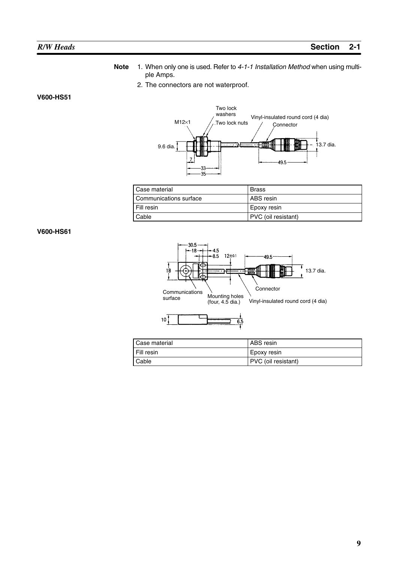- **Note** 1. When only one is used. Refer to *4-1-1 Installation Method* when using multiple Amps.
	- 2. The connectors are not waterproof.

**V600-HS51**



| Case material          | Brass               |
|------------------------|---------------------|
| Communications surface | l ABS resin         |
| Fill resin             | Epoxy resin         |
| Cable                  | PVC (oil resistant) |

#### **V600-HS61**



| Case material | l ABS resin         |
|---------------|---------------------|
| I Fill resin  | l Epoxy resin       |
| Cable         | PVC (oil resistant) |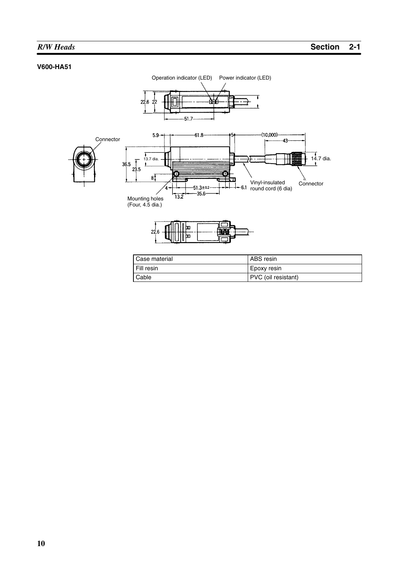#### **V600-HA51**



Cable PVC (oil resistant)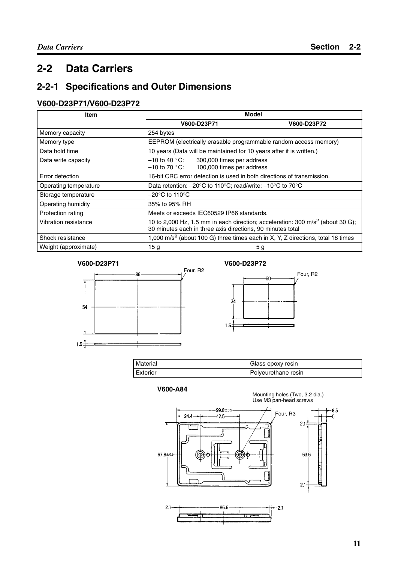## **2-2 Data Carriers**

## **2-2-1 Specifications and Outer Dimensions**

### **V600-D23P71/V600-D23P72**

| Item                  | <b>Model</b>                                                                                                                                             |             |  |  |
|-----------------------|----------------------------------------------------------------------------------------------------------------------------------------------------------|-------------|--|--|
|                       | V600-D23P71                                                                                                                                              | V600-D23P72 |  |  |
| Memory capacity       | 254 bytes                                                                                                                                                |             |  |  |
| Memory type           | EEPROM (electrically erasable programmable random access memory)                                                                                         |             |  |  |
| Data hold time        | 10 years (Data will be maintained for 10 years after it is written.)                                                                                     |             |  |  |
| Data write capacity   | $-10$ to 40 $^{\circ}$ C:<br>300,000 times per address<br>100,000 times per address<br>$-10$ to 70 $^{\circ}{\rm C}$ :                                   |             |  |  |
| Error detection       | 16-bit CRC error detection is used in both directions of transmission.                                                                                   |             |  |  |
| Operating temperature | Data retention: $-20^{\circ}$ C to 110 $^{\circ}$ C; read/write: $-10^{\circ}$ C to 70 $^{\circ}$ C                                                      |             |  |  |
| Storage temperature   | $-20^{\circ}$ C to 110 $^{\circ}$ C                                                                                                                      |             |  |  |
| Operating humidity    | 35% to 95% RH                                                                                                                                            |             |  |  |
| Protection rating     | Meets or exceeds IEC60529 IP66 standards.                                                                                                                |             |  |  |
| Vibration resistance  | 10 to 2,000 Hz, 1.5 mm in each direction; acceleration: 300 m/s <sup>2</sup> (about 30 G);<br>30 minutes each in three axis directions, 90 minutes total |             |  |  |
| Shock resistance      | 1,000 m/s <sup>2</sup> (about 100 G) three times each in X, Y, Z directions, total 18 times                                                              |             |  |  |
| Weight (approximate)  | 15 <sub>g</sub>                                                                                                                                          | 5 g         |  |  |







| Material | Glass epoxy resin   |
|----------|---------------------|
| Exterior | Polyeurethane resin |

**V600-A84**

Mounting holes (Two, 3.2 dia.) Use M3 pan-head screws

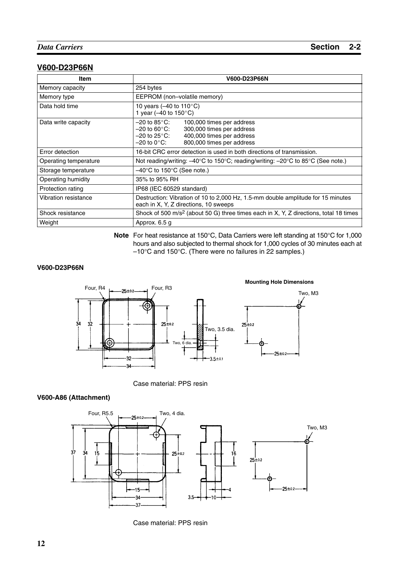#### **V600-D23P66N**

| Item                  | <b>V600-D23P66N</b>                                                                                                                                                                                                      |
|-----------------------|--------------------------------------------------------------------------------------------------------------------------------------------------------------------------------------------------------------------------|
| Memory capacity       | 254 bytes                                                                                                                                                                                                                |
| Memory type           | EEPROM (non-volatile memory)                                                                                                                                                                                             |
| Data hold time        | 10 years (-40 to 110 $^{\circ}$ C)<br>1 year (-40 to $150^{\circ}$ C)                                                                                                                                                    |
| Data write capacity   | $-20$ to 85 $^{\circ}$ C:<br>100,000 times per address<br>300,000 times per address<br>$-20$ to 60 $^{\circ}$ C:<br>400,000 times per address<br>$-20$ to 25 $^{\circ}$ C:<br>800,000 times per address<br>$-20$ to 0°C: |
| Error detection       | 16-bit CRC error detection is used in both directions of transmission.                                                                                                                                                   |
| Operating temperature | Not reading/writing: $-40^{\circ}$ C to 150°C; reading/writing: $-20^{\circ}$ C to 85°C (See note.)                                                                                                                      |
| Storage temperature   | $-40^{\circ}$ C to 150 $^{\circ}$ C (See note.)                                                                                                                                                                          |
| Operating humidity    | 35% to 95% RH                                                                                                                                                                                                            |
| Protection rating     | IP68 (IEC 60529 standard)                                                                                                                                                                                                |
| Vibration resistance  | Destruction: Vibration of 10 to 2,000 Hz, 1.5-mm double amplitude for 15 minutes<br>each in X, Y, Z directions, 10 sweeps                                                                                                |
| Shock resistance      | Shock of 500 m/s <sup>2</sup> (about 50 G) three times each in X, Y, Z directions, total 18 times                                                                                                                        |
| Weight                | Approx. 6.5 g                                                                                                                                                                                                            |

**Note** For heat resistance at 150°C, Data Carriers were left standing at 150°C for 1,000 hours and also subjected to thermal shock for 1,000 cycles of 30 minutes each at –10°C and 150°C. (There were no failures in 22 samples.)

#### **V600-D23P66N**



Case material: PPS resin

#### **V600-A86 (Attachment)**



Case material: PPS resin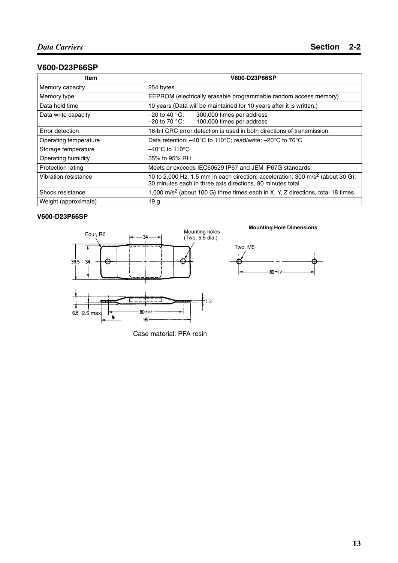## **V600-D23P66SP**

| Item                  | <b>V600-D23P66SP</b>                                                                                                                                     |
|-----------------------|----------------------------------------------------------------------------------------------------------------------------------------------------------|
| Memory capacity       | 254 bytes                                                                                                                                                |
| Memory type           | EEPROM (electrically erasable programmable random access memory)                                                                                         |
| Data hold time        | 10 years (Data will be maintained for 10 years after it is written.)                                                                                     |
| Data write capacity   | $-20$ to 40 $^{\circ}$ C:<br>300,000 times per address<br>100,000 times per address<br>$-20$ to 70 $^{\circ}$ C:                                         |
| Error detection       | 16-bit CRC error detection is used in both directions of transmission.                                                                                   |
| Operating temperature | Data retention: $-40^{\circ}$ C to 110 $^{\circ}$ C; read/write: $-20^{\circ}$ C to 70 $^{\circ}$ C                                                      |
| Storage temperature   | $-40^{\circ}$ C to 110 $^{\circ}$ C                                                                                                                      |
| Operating humidity    | 35% to 95% RH                                                                                                                                            |
| Protection rating     | Meets or exceeds IEC60529 IP67 and JEM IP67G standards.                                                                                                  |
| Vibration resistance  | 10 to 2,000 Hz, 1.5 mm in each direction; acceleration: 300 m/s <sup>2</sup> (about 30 G);<br>30 minutes each in three axis directions, 90 minutes total |
| Shock resistance      | 1,000 m/s <sup>2</sup> (about 100 G) three times each in X, Y, Z directions, total 18 times                                                              |
| Weight (approximate)  | 19 <sub>g</sub>                                                                                                                                          |

#### **V600-D23P66SP**



#### **Mounting Hole Dimensions**



Case material: PFA resin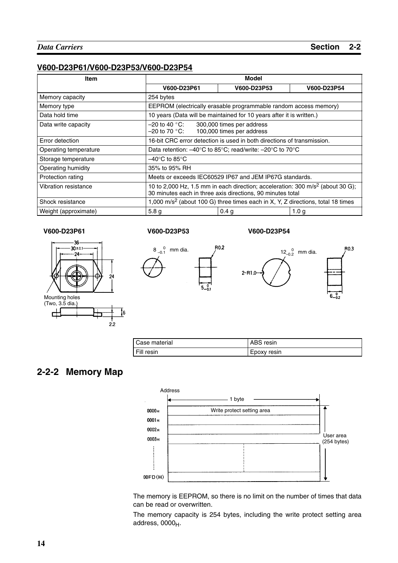#### **V600-D23P61/V600-D23P53/V600-D23P54**

| <b>Item</b>           | Model                                                                                                                                                    |                                                                                             |                  |  |  |  |
|-----------------------|----------------------------------------------------------------------------------------------------------------------------------------------------------|---------------------------------------------------------------------------------------------|------------------|--|--|--|
|                       | V600-D23P61                                                                                                                                              | V600-D23P53                                                                                 | V600-D23P54      |  |  |  |
| Memory capacity       | 254 bytes                                                                                                                                                |                                                                                             |                  |  |  |  |
| Memory type           |                                                                                                                                                          | EEPROM (electrically erasable programmable random access memory)                            |                  |  |  |  |
| Data hold time        | 10 years (Data will be maintained for 10 years after it is written.)                                                                                     |                                                                                             |                  |  |  |  |
| Data write capacity   | –20 to 40 °C:<br>–20 to 70 °C:                                                                                                                           | 300,000 times per address<br>100,000 times per address                                      |                  |  |  |  |
| Error detection       | 16-bit CRC error detection is used in both directions of transmission.                                                                                   |                                                                                             |                  |  |  |  |
| Operating temperature | Data retention: $-40^{\circ}$ C to 85 $^{\circ}$ C; read/write: $-20^{\circ}$ C to 70 $^{\circ}$ C                                                       |                                                                                             |                  |  |  |  |
| Storage temperature   | $-40^{\circ}$ C to 85 $^{\circ}$ C                                                                                                                       |                                                                                             |                  |  |  |  |
| Operating humidity    | 35% to 95% RH                                                                                                                                            |                                                                                             |                  |  |  |  |
| Protection rating     | Meets or exceeds IEC60529 IP67 and JEM IP67G standards.                                                                                                  |                                                                                             |                  |  |  |  |
| Vibration resistance  | 10 to 2,000 Hz, 1.5 mm in each direction; acceleration: 300 m/s <sup>2</sup> (about 30 G);<br>30 minutes each in three axis directions, 90 minutes total |                                                                                             |                  |  |  |  |
| Shock resistance      |                                                                                                                                                          | 1,000 m/s <sup>2</sup> (about 100 G) three times each in X, Y, Z directions, total 18 times |                  |  |  |  |
| Weight (approximate)  | 5.8 <sub>g</sub>                                                                                                                                         | 0.4 <sub>q</sub>                                                                            | 1.0 <sub>g</sub> |  |  |  |

#### **V600-D23P61 V600-D23P53 V600-D23P54**







| Case material | ABS resin   |
|---------------|-------------|
| Fill resin    | Epoxy resin |

## **2-2-2 Memory Map**



The memory is EEPROM, so there is no limit on the number of times that data can be read or overwritten.

The memory capacity is 254 bytes, including the write protect setting area address,  $0000_H$ .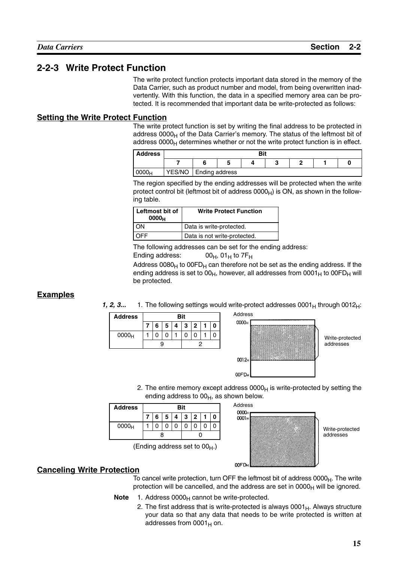### **2-2-3 Write Protect Function**

The write protect function protects important data stored in the memory of the Data Carrier, such as product number and model, from being overwritten inadvertently. With this function, the data in a specified memory area can be protected. It is recommended that important data be write-protected as follows:

#### **Setting the Write Protect Function**

The write protect function is set by writing the final address to be protected in address  $0000<sub>H</sub>$  of the Data Carrier's memory. The status of the leftmost bit of address  $0000<sub>H</sub>$  determines whether or not the write protect function is in effect.

| <b>Address</b>    |        |                | Bit |  |  |
|-------------------|--------|----------------|-----|--|--|
|                   |        |                |     |  |  |
| 0000 <sub>H</sub> | YES/NO | Ending address |     |  |  |

The region specified by the ending addresses will be protected when the write protect control bit (leftmost bit of address  $0000<sub>H</sub>$ ) is ON, as shown in the following table.

| Leftmost bit of<br>0000 <sub>H</sub> | <b>Write Protect Function</b> |
|--------------------------------------|-------------------------------|
| λN                                   | Data is write-protected.      |
|                                      | Data is not write-protected.  |

The following addresses can be set for the ending address: Ending address:  $00_H$ ,  $01_H$  to  $7F_H$ 

Address  $0080_H$  to  $00FD_H$  can therefore not be set as the ending address. If the ending address is set to  $00_H$ , however, all addresses from  $0001_H$  to  $00FD_H$  will be protected.

#### **Examples**

**1, 2, 3...** 1. The following settings would write-protect addresses  $0001_H$  through  $0012_H$ :

| 6<br>$-5$<br>3<br>2<br>л |  |
|--------------------------|--|
|                          |  |
| 0000 <sub>H</sub>        |  |
|                          |  |



Write-protected addresses

2. The entire memory except address  $0000<sub>H</sub>$  is write-protected by setting the ending address to  $00_H$ , as shown below.

| <b>Address</b>    | <b>Bit</b> |   |   |   |   |                |  |
|-------------------|------------|---|---|---|---|----------------|--|
|                   |            | 6 | 5 | Λ | 3 | $\overline{2}$ |  |
| 0000 <sub>H</sub> |            |   |   |   |   |                |  |
|                   |            |   |   |   |   |                |  |

(Ending address set to  $00_H$ .)



Write-protected addresses

#### **Canceling Write Protection**

To cancel write protection, turn OFF the leftmost bit of address  $0000<sub>H</sub>$ . The write protection will be cancelled, and the address are set in  $0000<sub>H</sub>$  will be ignored.

- **Note** 1. Address 0000<sub>H</sub> cannot be write-protected.
	- 2. The first address that is write-protected is always  $0001_H$ . Always structure your data so that any data that needs to be write protected is written at addresses from  $0001_H$  on.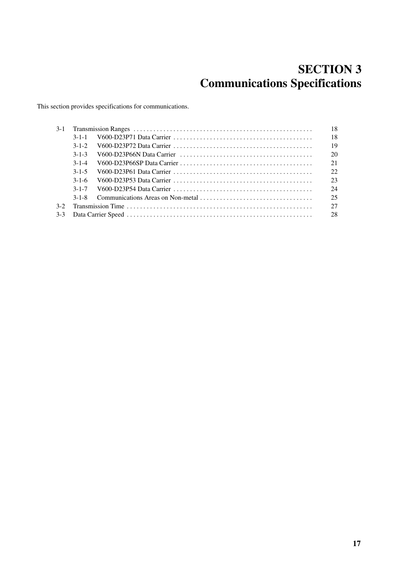## **SECTION 3 Communications Specifications**

This section provides specifications for communications.

| $3-1$ |             | 18 |
|-------|-------------|----|
|       | $3 - 1 - 1$ | 18 |
|       | $3 - 1 - 2$ | 19 |
|       | $3 - 1 - 3$ | 20 |
|       | $3 - 1 - 4$ |    |
|       | $3 - 1 - 5$ | 22 |
|       | $3 - 1 - 6$ | 23 |
|       |             | 24 |
|       | $3 - 1 - 8$ | 25 |
| $3-2$ |             | 27 |
| $3-3$ |             |    |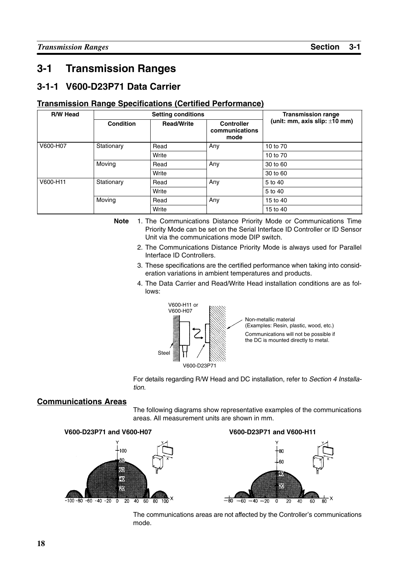## **3-1 Transmission Ranges**

## **3-1-1 V600-D23P71 Data Carrier**

#### **Transmission Range Specifications (Certified Performance)**

| <b>R/W Head</b> |                  | <b>Setting conditions</b> |                                             | <b>Transmission range</b>          |
|-----------------|------------------|---------------------------|---------------------------------------------|------------------------------------|
|                 | <b>Condition</b> | <b>Read/Write</b>         | <b>Controller</b><br>communications<br>mode | (unit: mm, axis slip: $\pm 10$ mm) |
| V600-H07        | Stationary       | Read                      | Any                                         | 10 to 70                           |
|                 |                  | Write                     |                                             | 10 to 70                           |
|                 | Moving           | Read                      | Any                                         | 30 to 60                           |
|                 |                  | Write                     |                                             | 30 to 60                           |
| V600-H11        | Stationary       | Read                      | Any                                         | 5 to 40                            |
|                 |                  | Write                     |                                             | 5 to 40                            |
|                 | Moving           | Read                      | Any                                         | 15 to 40                           |
|                 |                  | Write                     |                                             | 15 to 40                           |

- **Note** 1. The Communications Distance Priority Mode or Communications Time Priority Mode can be set on the Serial Interface ID Controller or ID Sensor Unit via the communications mode DIP switch.
	- 2. The Communications Distance Priority Mode is always used for Parallel Interface ID Controllers.
	- 3. These specifications are the certified performance when taking into consideration variations in ambient temperatures and products.
	- 4. The Data Carrier and Read/Write Head installation conditions are as follows:



Non-metallic material (Examples: Resin, plastic, wood, etc.) Communications will not be possible if the DC is mounted directly to metal.

For details regarding R/W Head and DC installation, refer to *Section 4 Installation*.

#### **Communications Areas**

The following diagrams show representative examples of the communications areas. All measurement units are shown in mm.



The communications areas are not affected by the Controller's communications mode.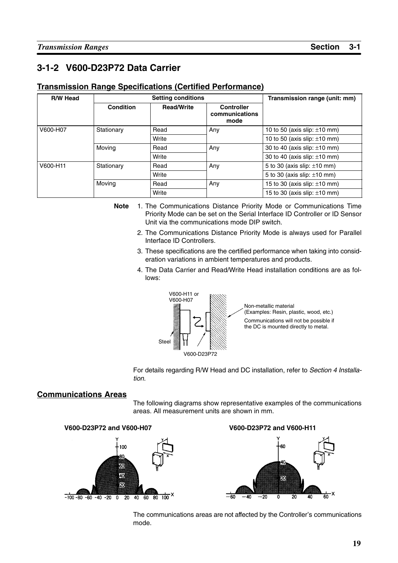## **3-1-2 V600-D23P72 Data Carrier**

#### **Transmission Range Specifications (Certified Performance)**

| <b>R/W Head</b> |            | <b>Setting conditions</b> |                                             | Transmission range (unit: mm)     |
|-----------------|------------|---------------------------|---------------------------------------------|-----------------------------------|
|                 | Condition  | <b>Read/Write</b>         | <b>Controller</b><br>communications<br>mode |                                   |
| V600-H07        | Stationary | Read                      | Any                                         | 10 to 50 (axis slip: $\pm$ 10 mm) |
|                 |            | Write                     |                                             | 10 to 50 (axis slip: $\pm$ 10 mm) |
|                 | Moving     | Read                      | Any                                         | 30 to 40 (axis slip: $\pm 10$ mm) |
|                 |            | Write                     |                                             | 30 to 40 (axis slip: $\pm 10$ mm) |
| V600-H11        | Stationary | Read                      | Any                                         | 5 to 30 (axis slip: $\pm 10$ mm)  |
|                 |            | Write                     |                                             | 5 to 30 (axis slip: $\pm 10$ mm)  |
|                 | Moving     | Read                      | Any                                         | 15 to 30 (axis slip: $\pm$ 10 mm) |
|                 |            | Write                     |                                             | 15 to 30 (axis slip: $\pm$ 10 mm) |

- **Note** 1. The Communications Distance Priority Mode or Communications Time Priority Mode can be set on the Serial Interface ID Controller or ID Sensor Unit via the communications mode DIP switch.
	- 2. The Communications Distance Priority Mode is always used for Parallel Interface ID Controllers.
	- 3. These specifications are the certified performance when taking into consideration variations in ambient temperatures and products.
	- 4. The Data Carrier and Read/Write Head installation conditions are as follows:



Non-metallic material (Examples: Resin, plastic, wood, etc.) Communications will not be possible if the DC is mounted directly to metal.

For details regarding R/W Head and DC installation, refer to *Section 4 Installation*.

#### **Communications Areas**

The following diagrams show representative examples of the communications areas. All measurement units are shown in mm.



The communications areas are not affected by the Controller's communications mode.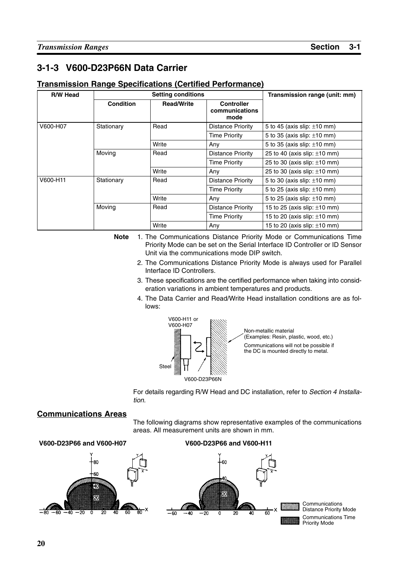## **3-1-3 V600-D23P66N Data Carrier**

#### **Transmission Range Specifications (Certified Performance)**

| <b>R/W Head</b> |                  | <b>Setting conditions</b> |                                             | Transmission range (unit: mm)     |
|-----------------|------------------|---------------------------|---------------------------------------------|-----------------------------------|
|                 | <b>Condition</b> | <b>Read/Write</b>         | <b>Controller</b><br>communications<br>mode |                                   |
| V600-H07        | Stationary       | Read                      | Distance Priority                           | 5 to 45 (axis slip: $\pm 10$ mm)  |
|                 |                  |                           | <b>Time Priority</b>                        | 5 to 35 (axis slip: $\pm 10$ mm)  |
|                 |                  | Write                     | Any                                         | 5 to 35 (axis slip: $\pm 10$ mm)  |
|                 | Moving           | Read                      | Distance Priority                           | 25 to 40 (axis slip: $\pm 10$ mm) |
|                 |                  |                           | <b>Time Priority</b>                        | 25 to 30 (axis slip: $\pm 10$ mm) |
|                 |                  | Write                     | Any                                         | 25 to 30 (axis slip: $\pm 10$ mm) |
| V600-H11        | Stationary       | Read                      | Distance Priority                           | 5 to 30 (axis slip: $\pm 10$ mm)  |
|                 |                  |                           | <b>Time Priority</b>                        | 5 to 25 (axis slip: $\pm 10$ mm)  |
|                 |                  | Write                     | Any                                         | 5 to 25 (axis slip: $\pm 10$ mm)  |
|                 | Moving           | Read                      | Distance Priority                           | 15 to 25 (axis slip: $\pm$ 10 mm) |
|                 |                  |                           | <b>Time Priority</b>                        | 15 to 20 (axis slip: $\pm$ 10 mm) |
|                 |                  | Write                     | Any                                         | 15 to 20 (axis slip: $\pm$ 10 mm) |

**Note** 1. The Communications Distance Priority Mode or Communications Time Priority Mode can be set on the Serial Interface ID Controller or ID Sensor Unit via the communications mode DIP switch.

- 2. The Communications Distance Priority Mode is always used for Parallel Interface ID Controllers.
- 3. These specifications are the certified performance when taking into consideration variations in ambient temperatures and products.
- 4. The Data Carrier and Read/Write Head installation conditions are as follows:



Non-metallic material (Examples: Resin, plastic, wood, etc.) Communications will not be possible if the DC is mounted directly to metal.

For details regarding R/W Head and DC installation, refer to *Section 4 Installation*.

#### **Communications Areas**

The following diagrams show representative examples of the communications areas. All measurement units are shown in mm.

#### **V600-D23P66 and V600-H07 V600-D23P66 and V600-H11**



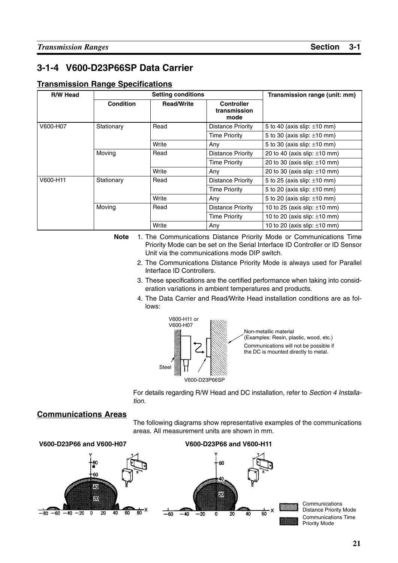## **3-1-4 V600-D23P66SP Data Carrier**

#### **Transmission Range Specifications**

| <b>R/W Head</b> |                  | <b>Setting conditions</b> |                                           | Transmission range (unit: mm)     |
|-----------------|------------------|---------------------------|-------------------------------------------|-----------------------------------|
|                 | <b>Condition</b> | <b>Read/Write</b>         | <b>Controller</b><br>transmission<br>mode |                                   |
| V600-H07        | Stationary       | Read                      | Distance Priority                         | 5 to 40 (axis slip: $\pm 10$ mm)  |
|                 |                  |                           | <b>Time Priority</b>                      | 5 to 30 (axis slip: $\pm 10$ mm)  |
|                 |                  | Write                     | Any                                       | 5 to 30 (axis slip: $\pm 10$ mm)  |
|                 | Moving           | Read                      | Distance Priority                         | 20 to 40 (axis slip: $\pm 10$ mm) |
|                 |                  |                           | <b>Time Priority</b>                      | 20 to 30 (axis slip: $\pm 10$ mm) |
|                 |                  | Write                     | Any                                       | 20 to 30 (axis slip: $\pm 10$ mm) |
| V600-H11        | Stationary       | Read                      | <b>Distance Priority</b>                  | 5 to 25 (axis slip: $\pm 10$ mm)  |
|                 |                  |                           | <b>Time Priority</b>                      | 5 to 20 (axis slip: $\pm 10$ mm)  |
|                 |                  | Write                     | Any                                       | 5 to 20 (axis slip: $\pm 10$ mm)  |
|                 | Moving           | Read                      | <b>Distance Priority</b>                  | 10 to 25 (axis slip: $\pm$ 10 mm) |
|                 |                  |                           | <b>Time Priority</b>                      | 10 to 20 (axis slip: $\pm$ 10 mm) |
|                 |                  | Write                     | Any                                       | 10 to 20 (axis slip: $\pm$ 10 mm) |

**Note** 1. The Communications Distance Priority Mode or Communications Time Priority Mode can be set on the Serial Interface ID Controller or ID Sensor Unit via the communications mode DIP switch.

- 2. The Communications Distance Priority Mode is always used for Parallel Interface ID Controllers.
- 3. These specifications are the certified performance when taking into consideration variations in ambient temperatures and products.
- 4. The Data Carrier and Read/Write Head installation conditions are as follows:



Non-metallic material (Examples: Resin, plastic, wood, etc.) Communications will not be possible if the DC is mounted directly to metal.

For details regarding R/W Head and DC installation, refer to *Section 4 Installation*.

#### **Communications Areas**

The following diagrams show representative examples of the communications areas. All measurement units are shown in mm.

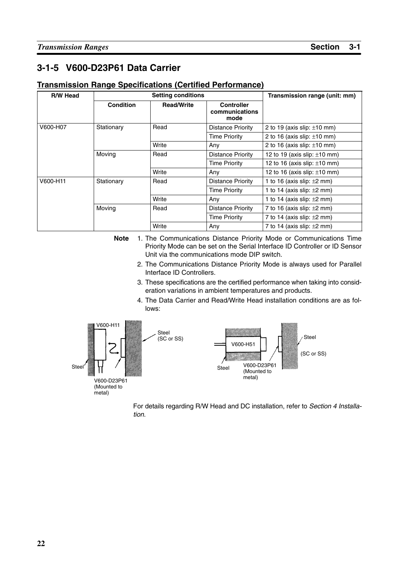## **3-1-5 V600-D23P61 Data Carrier**

#### **Transmission Range Specifications (Certified Performance)**

| R/W Head |                  | <b>Setting conditions</b> |                                             | Transmission range (unit: mm)     |
|----------|------------------|---------------------------|---------------------------------------------|-----------------------------------|
|          | <b>Condition</b> | <b>Read/Write</b>         | <b>Controller</b><br>communications<br>mode |                                   |
| V600-H07 | Stationary       | Read                      | Distance Priority                           | 2 to 19 (axis slip: $\pm$ 10 mm)  |
|          |                  |                           | <b>Time Priority</b>                        | 2 to 16 (axis slip: $\pm$ 10 mm)  |
|          |                  | Write                     | Any                                         | 2 to 16 (axis slip: $\pm$ 10 mm)  |
|          | Moving           | Read                      | Distance Priority                           | 12 to 19 (axis slip: $\pm$ 10 mm) |
|          |                  |                           | <b>Time Priority</b>                        | 12 to 16 (axis slip: $\pm$ 10 mm) |
|          |                  | Write                     | Any                                         | 12 to 16 (axis slip: $\pm$ 10 mm) |
| V600-H11 | Stationary       | Read                      | Distance Priority                           | 1 to 16 (axis slip: $\pm 2$ mm)   |
|          |                  |                           | <b>Time Priority</b>                        | 1 to 14 (axis slip: $\pm 2$ mm)   |
|          |                  | Write                     | Any                                         | 1 to 14 (axis slip: $\pm 2$ mm)   |
|          | Moving           | Read                      | Distance Priority                           | 7 to 16 (axis slip: $\pm 2$ mm)   |
|          |                  |                           | <b>Time Priority</b>                        | 7 to 14 (axis slip: $\pm 2$ mm)   |
|          |                  | Write                     | Any                                         | 7 to 14 (axis slip: $\pm 2$ mm)   |

**Note** 1. The Communications Distance Priority Mode or Communications Time Priority Mode can be set on the Serial Interface ID Controller or ID Sensor Unit via the communications mode DIP switch.

- 2. The Communications Distance Priority Mode is always used for Parallel Interface ID Controllers.
- 3. These specifications are the certified performance when taking into consideration variations in ambient temperatures and products.
- 4. The Data Carrier and Read/Write Head installation conditions are as follows:



For details regarding R/W Head and DC installation, refer to *Section 4 Installation*.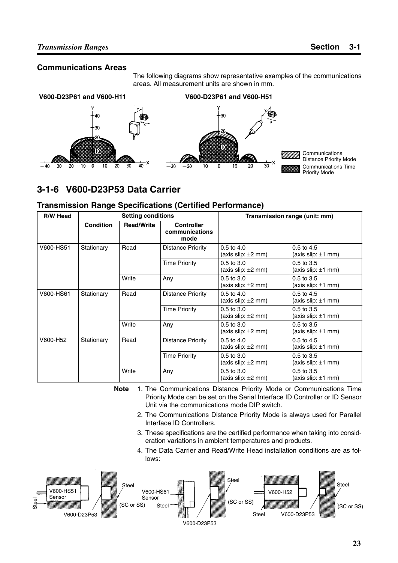#### **Communications Areas**

The following diagrams show representative examples of the communications areas. All measurement units are shown in mm.



## **3-1-6 V600-D23P53 Data Carrier**

#### **Transmission Range Specifications (Certified Performance)**

| R/W Head  |                  | <b>Setting conditions</b> |                                             | Transmission range (unit: mm)             |                                           |  |
|-----------|------------------|---------------------------|---------------------------------------------|-------------------------------------------|-------------------------------------------|--|
|           | <b>Condition</b> | <b>Read/Write</b>         | <b>Controller</b><br>communications<br>mode |                                           |                                           |  |
| V600-HS51 | Stationary       | Read                      | <b>Distance Priority</b>                    | $0.5$ to $4.0$<br>(axis slip: $\pm 2$ mm) | $0.5$ to $4.5$<br>(axis slip: $\pm 1$ mm) |  |
|           |                  |                           | <b>Time Priority</b>                        | $0.5$ to $3.0$<br>(axis slip: $\pm 2$ mm) | $0.5$ to $3.5$<br>(axis slip: $\pm 1$ mm) |  |
|           |                  | Write                     | Any                                         | $0.5$ to $3.0$<br>(axis slip: $\pm 2$ mm) | $0.5$ to $3.5$<br>(axis slip: $\pm 1$ mm) |  |
| V600-HS61 | Stationary       | Read                      | Distance Priority                           | $0.5$ to $4.0$<br>(axis slip: $\pm 2$ mm) | $0.5$ to $4.5$<br>(axis slip: $\pm 1$ mm) |  |
|           |                  |                           | <b>Time Priority</b>                        | $0.5$ to $3.0$<br>(axis slip: $\pm 2$ mm) | $0.5$ to $3.5$<br>(axis slip: $\pm 1$ mm) |  |
|           |                  | Write                     | Any                                         | 0.5 to 3.0<br>(axis slip: $\pm 2$ mm)     | $0.5$ to $3.5$<br>(axis slip: $\pm 1$ mm) |  |
| V600-H52  | Stationary       | Read                      | Distance Priority                           | $0.5$ to $4.0$<br>(axis slip: $\pm 2$ mm) | $0.5$ to $4.5$<br>(axis slip: $\pm 1$ mm) |  |
|           |                  |                           | <b>Time Priority</b>                        | $0.5$ to $3.0$<br>(axis slip: $\pm 2$ mm) | $0.5$ to $3.5$<br>(axis slip: $\pm 1$ mm) |  |
|           |                  | Write                     | Any                                         | $0.5$ to $3.0$<br>(axis slip: $\pm 2$ mm) | $0.5$ to $3.5$<br>(axis slip: $\pm 1$ mm) |  |

**Note** 1. The Communications Distance Priority Mode or Communications Time Priority Mode can be set on the Serial Interface ID Controller or ID Sensor Unit via the communications mode DIP switch.

- 2. The Communications Distance Priority Mode is always used for Parallel Interface ID Controllers.
- 3. These specifications are the certified performance when taking into consideration variations in ambient temperatures and products.
- 4. The Data Carrier and Read/Write Head installation conditions are as follows:

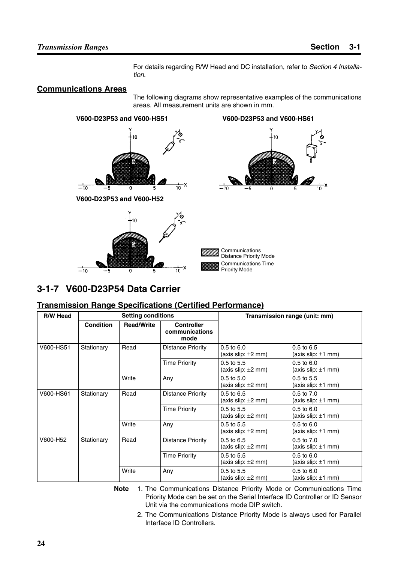For details regarding R/W Head and DC installation, refer to *Section 4 Installation*.

#### **Communications Areas**

The following diagrams show representative examples of the communications areas. All measurement units are shown in mm.



## **3-1-7 V600-D23P54 Data Carrier**

#### **Transmission Range Specifications (Certified Performance)**

| <b>R/W Head</b> |                  | <b>Setting conditions</b> |                                             | Transmission range (unit: mm)             |                                           |
|-----------------|------------------|---------------------------|---------------------------------------------|-------------------------------------------|-------------------------------------------|
|                 | <b>Condition</b> | <b>Read/Write</b>         | <b>Controller</b><br>communications<br>mode |                                           |                                           |
| V600-HS51       | Stationary       | Read                      | Distance Priority                           | $0.5$ to $6.0$<br>(axis slip: $\pm 2$ mm) | $0.5$ to $6.5$<br>(axis slip: $\pm 1$ mm) |
|                 |                  |                           | <b>Time Priority</b>                        | $0.5$ to $5.5$<br>(axis slip: $\pm 2$ mm) | $0.5$ to $6.0$<br>(axis slip: $\pm 1$ mm) |
|                 |                  | Write                     | Any                                         | $0.5$ to $5.0$<br>(axis slip: $\pm 2$ mm) | $0.5$ to $5.5$<br>(axis slip: $\pm 1$ mm) |
| V600-HS61       | Stationary       | Read                      | <b>Distance Priority</b>                    | $0.5$ to $6.5$<br>(axis slip: $\pm 2$ mm) | 0.5 to 7.0<br>(axis slip: $\pm 1$ mm)     |
|                 |                  |                           | <b>Time Priority</b>                        | $0.5$ to $5.5$<br>(axis slip: $\pm 2$ mm) | $0.5$ to $6.0$<br>(axis slip: $\pm 1$ mm) |
|                 |                  | Write                     | Any                                         | $0.5$ to $5.5$<br>(axis slip: $\pm 2$ mm) | $0.5$ to $6.0$<br>(axis slip: $\pm 1$ mm) |
| V600-H52        | Stationary       | Read                      | <b>Distance Priority</b>                    | $0.5$ to $6.5$<br>(axis slip: $\pm 2$ mm) | $0.5$ to $7.0$<br>(axis slip: $\pm 1$ mm) |
|                 |                  |                           | <b>Time Priority</b>                        | $0.5$ to $5.5$<br>(axis slip: $\pm 2$ mm) | $0.5$ to $6.0$<br>(axis slip: $\pm 1$ mm) |
|                 |                  | Write                     | Any                                         | $0.5$ to $5.5$<br>(axis slip: $\pm 2$ mm) | $0.5$ to $6.0$<br>(axis slip: $\pm 1$ mm) |

**Note** 1. The Communications Distance Priority Mode or Communications Time Priority Mode can be set on the Serial Interface ID Controller or ID Sensor Unit via the communications mode DIP switch.

2. The Communications Distance Priority Mode is always used for Parallel Interface ID Controllers.

#### **24**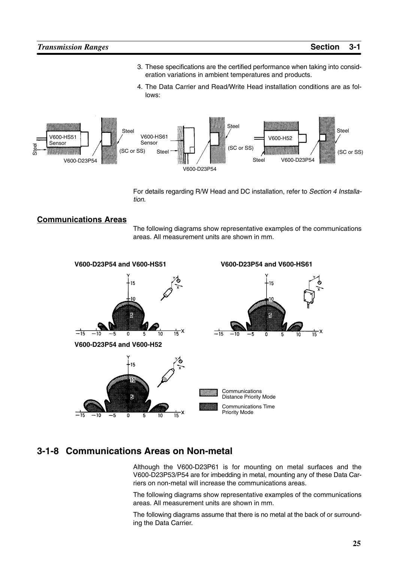$\frac{1}{15}x$ 

- 3. These specifications are the certified performance when taking into consideration variations in ambient temperatures and products.
- 4. The Data Carrier and Read/Write Head installation conditions are as follows:



For details regarding R/W Head and DC installation, refer to *Section 4 Installation*.

#### **Communications Areas**

The following diagrams show representative examples of the communications areas. All measurement units are shown in mm.



### **3-1-8 Communications Areas on Non-metal**

Although the V600-D23P61 is for mounting on metal surfaces and the V600-D23P53/P54 are for imbedding in metal, mounting any of these Data Carriers on non-metal will increase the communications areas.

The following diagrams show representative examples of the communications areas. All measurement units are shown in mm.

The following diagrams assume that there is no metal at the back of or surrounding the Data Carrier.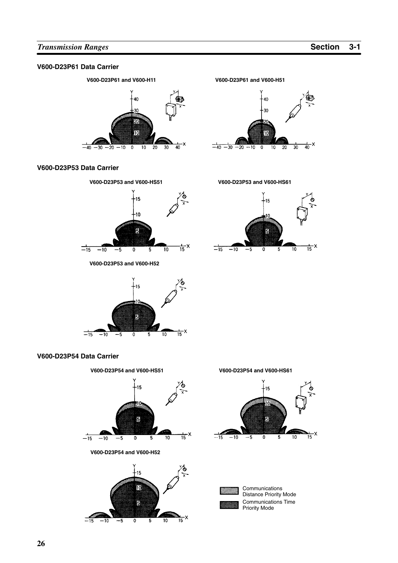#### **V600-D23P61 Data Carrier**



#### **V600-D23P53 Data Carrier**



**V600-D23P53 and V600-H52**



#### **V600-D23P54 Data Carrier**









-15 ٦Ő 5  $\frac{1}{15}x$  $\overline{10}$  $-15$  $\overline{-10}$ -5  $\overline{\mathfrak{o}}$  $\overline{5}$ 

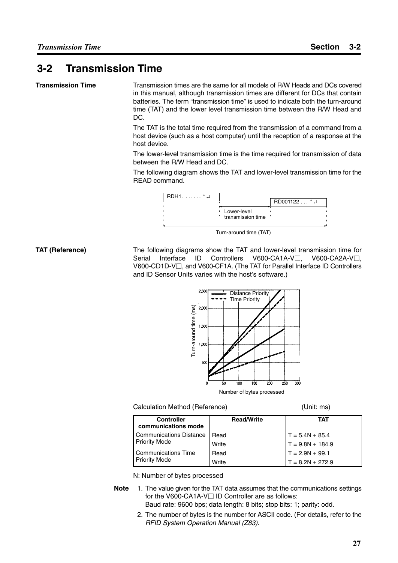## **3-2 Transmission Time**

#### **Transmission Time**

Transmission times are the same for all models of R/W Heads and DCs covered in this manual, although transmission times are different for DCs that contain batteries. The term "transmission time" is used to indicate both the turn-around time (TAT) and the lower level transmission time between the R/W Head and DC.

The TAT is the total time required from the transmission of a command from a host device (such as a host computer) until the reception of a response at the host device.

The lower-level transmission time is the time required for transmission of data between the R/W Head and DC.

The following diagram shows the TAT and lower-level transmission time for the READ command.



Turn-around time (TAT)

The following diagrams show the TAT and lower-level transmission time for Serial Interface ID Controllers V600-CA1A-V $\Box$ , , V600-CA2A-V<sub>I</sub>, V600-CD1D-V□, and V600-CF1A. (The TAT for Parallel Interface ID Controllers and ID Sensor Units varies with the host's software.) **TAT (Reference)**



#### Calculation Method (Reference) (Unit: ms)

| <b>Controller</b><br>communications mode | <b>Read/Write</b> | ТАТ                |
|------------------------------------------|-------------------|--------------------|
| <b>Communications Distance</b>           | Read              | $T = 5.4N + 85.4$  |
| <b>Priority Mode</b>                     | Write             | $T = 9.8N + 184.9$ |
| Communications Time                      | Read              | $T = 2.9N + 99.1$  |
| <b>Priority Mode</b>                     | Write             | $T = 8.2N + 272.9$ |

N: Number of bytes processed

- **Note** 1. The value given for the TAT data assumes that the communications settings for the V600-CA1A-V $\Box$  ID Controller are as follows: Baud rate: 9600 bps; data length: 8 bits; stop bits: 1; parity: odd.
	- 2. The number of bytes is the number for ASCII code. (For details, refer to the *RFID System Operation Manual (Z83)*.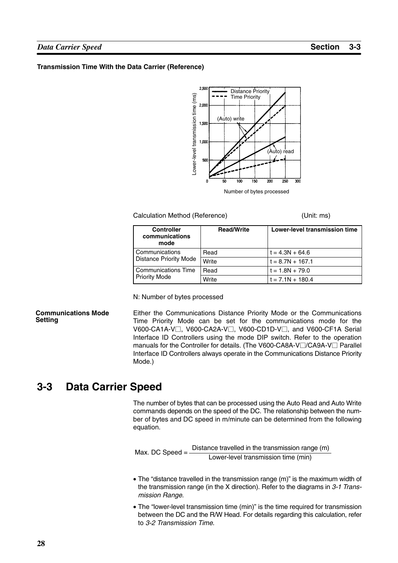#### *Data Carrier Speed* **Section 3-3**

#### **Transmission Time With the Data Carrier (Reference)**



Number of bytes processed

#### Calculation Method (Reference) (Unit: ms)

| <b>Controller</b><br>communications<br>mode | <b>Read/Write</b> | Lower-level transmission time |
|---------------------------------------------|-------------------|-------------------------------|
| Communications                              | Read              | $t = 4.3N + 64.6$             |
| <b>Distance Priority Mode</b>               | Write             | $t = 8.7N + 167.1$            |
| <b>Communications Time</b>                  | Read              | $t = 1.8N + 79.0$             |
| <b>Priority Mode</b>                        | Write             | $t = 7.1N + 180.4$            |

N: Number of bytes processed

#### **Communications Mode Setting**

Either the Communications Distance Priority Mode or the Communications Time Priority Mode can be set for the communications mode for the V600-CA1A-V□, V600-CA2A-V□, V600-CD1D-V□, and V600-CF1A Serial Interface ID Controllers using the mode DIP switch. Refer to the operation manuals for the Controller for details. (The V600-CA8A-V□/CA9A-V□ Parallel Interface ID Controllers always operate in the Communications Distance Priority Mode.)

## **3-3 Data Carrier Speed**

The number of bytes that can be processed using the Auto Read and Auto Write commands depends on the speed of the DC. The relationship between the number of bytes and DC speed in m/minute can be determined from the following equation.

Max. DC Speed  $=$  Distance travelled in the transmission range (m) Lower-level transmission time (min)

- The "distance travelled in the transmission range (m)" is the maximum width of the transmission range (in the X direction). Refer to the diagrams in *3-1 Transmission Range*.
- The "lower-level transmission time (min)" is the time required for transmission between the DC and the R/W Head. For details regarding this calculation, refer to *3-2 Transmission Time*.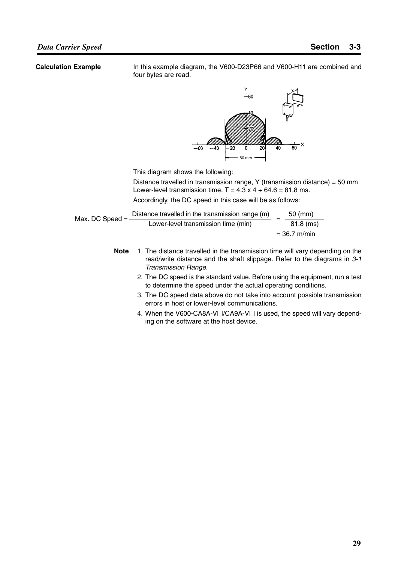**Calculation Example**

In this example diagram, the V600-D23P66 and V600-H11 are combined and four bytes are read.



This diagram shows the following:

Distance travelled in transmission range, Y (transmission distance) = 50 mm Lower-level transmission time,  $T = 4.3 \times 4 + 64.6 = 81.8 \text{ ms}$ .

Accordingly, the DC speed in this case will be as follows:

| Max. DC Speed $=$ | Distance travelled in the transmission range (m) | $50 \ (mm)$    |
|-------------------|--------------------------------------------------|----------------|
|                   | Lower-level transmission time (min)              | $81.8$ (ms)    |
|                   |                                                  | $= 36.7$ m/min |

- **Note** 1. The distance travelled in the transmission time will vary depending on the read/write distance and the shaft slippage. Refer to the diagrams in *3-1 Transmission Range*.
	- 2. The DC speed is the standard value. Before using the equipment, run a test to determine the speed under the actual operating conditions.
	- 3. The DC speed data above do not take into account possible transmission errors in host or lower-level communications.
	- 4. When the V600-CA8A-V□/CA9A-V□ is used, the speed will vary depending on the software at the host device.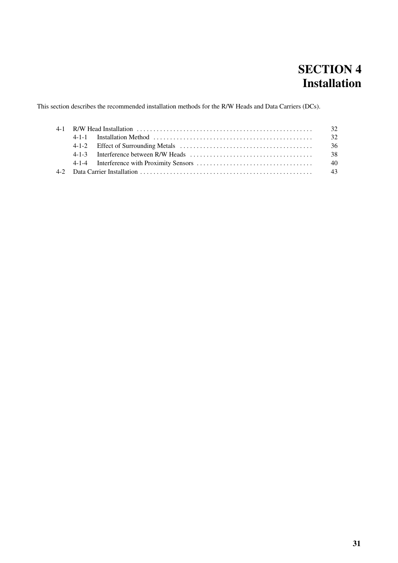## **SECTION 4 Installation**

This section describes the recommended installation methods for the R/W Heads and Data Carriers (DCs).

|  | -32  |
|--|------|
|  | -32  |
|  | - 36 |
|  |      |
|  |      |
|  |      |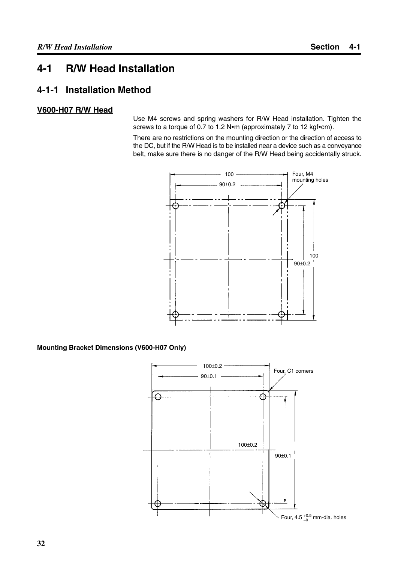## **4-1 R/W Head Installation**

### **4-1-1 Installation Method**

#### **V600-H07 R/W Head**

Use M4 screws and spring washers for R/W Head installation. Tighten the screws to a torque of 0.7 to 1.2 N•m (approximately 7 to 12 kgf•cm).

There are no restrictions on the mounting direction or the direction of access to the DC, but if the R/W Head is to be installed near a device such as a conveyance belt, make sure there is no danger of the R/W Head being accidentally struck.



**Mounting Bracket Dimensions (V600-H07 Only)**

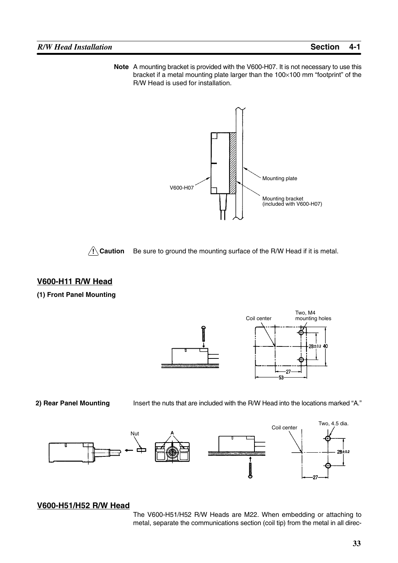**Note** A mounting bracket is provided with the V600-H07. It is not necessary to use this bracket if a metal mounting plate larger than the 100×100 mm "footprint" of the R/W Head is used for installation.





Be sure to ground the mounting surface of the R/W Head if it is metal.

#### **V600-H11 R/W Head**

#### **(1) Front Panel Mounting**



#### **2) Rear Panel Mounting**

Insert the nuts that are included with the R/W Head into the locations marked "A."



#### **V600-H51/H52 R/W Head**

The V600-H51/H52 R/W Heads are M22. When embedding or attaching to metal, separate the communications section (coil tip) from the metal in all direc-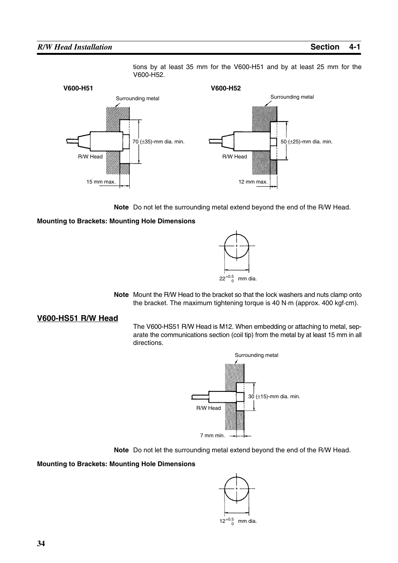#### *R/W Head Installation* **Section 4-1**





**Note** Do not let the surrounding metal extend beyond the end of the R/W Head.

#### **Mounting to Brackets: Mounting Hole Dimensions**



**Note** Mount the R/W Head to the bracket so that the lock washers and nuts clamp onto the bracket. The maximum tightening torque is 40 N·m (approx. 400 kgf·cm).

#### **V600-HS51 R/W Head**

The V600-HS51 R/W Head is M12. When embedding or attaching to metal, separate the communications section (coil tip) from the metal by at least 15 mm in all directions.





#### **Mounting to Brackets: Mounting Hole Dimensions**

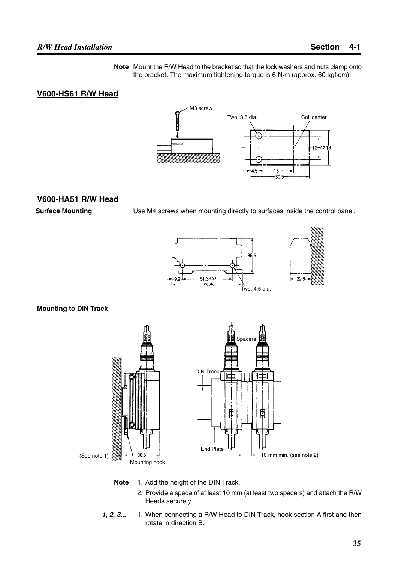**Note** Mount the R/W Head to the bracket so that the lock washers and nuts clamp onto the bracket. The maximum tightening torque is 6 N·m (approx. 60 kgf·cm).

#### **V600-HS61 R/W Head**



#### **V600-HA51 R/W Head**

**Surface Mounting**

Use M4 screws when mounting directly to surfaces inside the control panel.



#### **Mounting to DIN Track**



- **Note** 1. Add the height of the DIN Track.
	- 2. Provide a space of at least 10 mm (at least two spacers) and attach the R/W Heads securely.
- *1, 2, 3...* 1. When connecting a R/W Head to DIN Track, hook section A first and then rotate in direction B.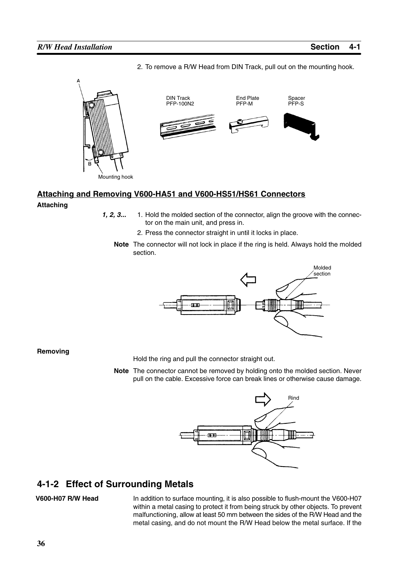

2. To remove a R/W Head from DIN Track, pull out on the mounting hook.

## **Attaching and Removing V600-HA51 and V600-HS51/HS61 Connectors**

#### **Attaching**

- **1, 2, 3...** 1. Hold the molded section of the connector, align the groove with the connector on the main unit, and press in.
	- 2. Press the connector straight in until it locks in place.
	- **Note** The connector will not lock in place if the ring is held. Always hold the molded section.



**Removing**

Hold the ring and pull the connector straight out.

**Note** The connector cannot be removed by holding onto the molded section. Never pull on the cable. Excessive force can break lines or otherwise cause damage.



## **4-1-2 Effect of Surrounding Metals**

#### **V600-H07 R/W Head**

In addition to surface mounting, it is also possible to flush-mount the V600-H07 within a metal casing to protect it from being struck by other objects. To prevent malfunctioning, allow at least 50 mm between the sides of the R/W Head and the metal casing, and do not mount the R/W Head below the metal surface. If the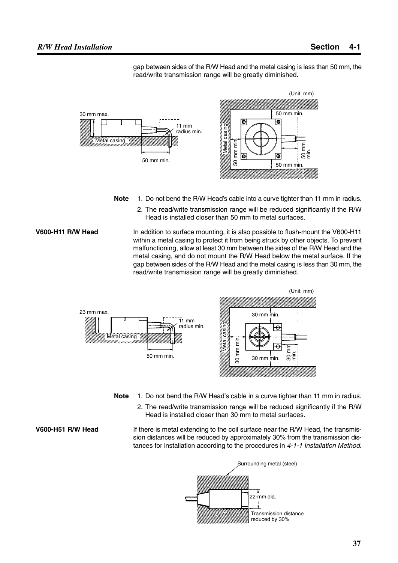gap between sides of the R/W Head and the metal casing is less than 50 mm, the read/write transmission range will be greatly diminished.



- **Note** 1. Do not bend the R/W Head's cable into a curve tighter than 11 mm in radius.
	- 2. The read/write transmission range will be reduced significantly if the R/W Head is installed closer than 50 mm to metal surfaces.

In addition to surface mounting, it is also possible to flush-mount the V600-H11 within a metal casing to protect it from being struck by other objects. To prevent malfunctioning, allow at least 30 mm between the sides of the R/W Head and the metal casing, and do not mount the R/W Head below the metal surface. If the gap between sides of the R/W Head and the metal casing is less than 30 mm, the read/write transmission range will be greatly diminished. **V600-H11 R/W Head**



- **Note** 1. Do not bend the R/W Head's cable in a curve tighter than 11 mm in radius.
	- 2. The read/write transmission range will be reduced significantly if the R/W Head is installed closer than 30 mm to metal surfaces.

**V600-H51 R/W Head**

If there is metal extending to the coil surface near the R/W Head, the transmission distances will be reduced by approximately 30% from the transmission distances for installation according to the procedures in *4-1-1 Installation Method*.

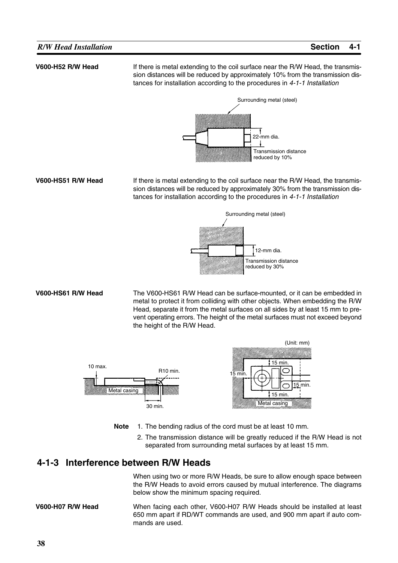#### **V600-H52 R/W Head**

**V600-HS51 R/W Head**

If there is metal extending to the coil surface near the R/W Head, the transmission distances will be reduced by approximately 10% from the transmission distances for installation according to the procedures in *4-1-1 Installation*



If there is metal extending to the coil surface near the R/W Head, the transmission distances will be reduced by approximately 30% from the transmission distances for installation according to the procedures in *4-1-1 Installation*



The V600-HS61 R/W Head can be surface-mounted, or it can be embedded in metal to protect it from colliding with other objects. When embedding the R/W Head, separate it from the metal surfaces on all sides by at least 15 mm to prevent operating errors. The height of the metal surfaces must not exceed beyond the height of the R/W Head. **V600-HS61 R/W Head**



- **Note** 1. The bending radius of the cord must be at least 10 mm.
	- 2. The transmission distance will be greatly reduced if the R/W Head is not separated from surrounding metal surfaces by at least 15 mm.

#### **4-1-3 Interference between R/W Heads**

When using two or more R/W Heads, be sure to allow enough space between the R/W Heads to avoid errors caused by mutual interference. The diagrams below show the minimum spacing required.

When facing each other, V600-H07 R/W Heads should be installed at least 650 mm apart if RD/WT commands are used, and 900 mm apart if auto commands are used. **V600-H07 R/W Head**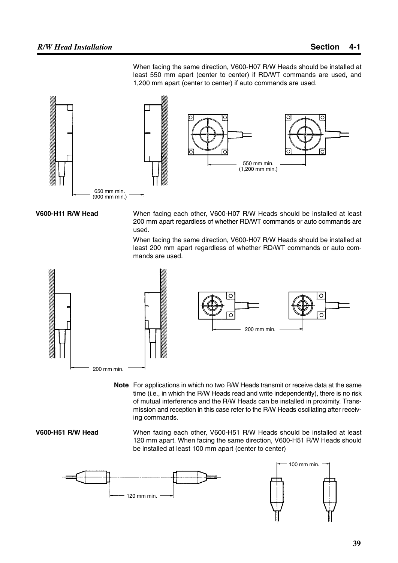When facing the same direction, V600-H07 R/W Heads should be installed at least 550 mm apart (center to center) if RD/WT commands are used, and 1,200 mm apart (center to center) if auto commands are used.



#### **V600-H11 R/W Head**

When facing each other, V600-H07 R/W Heads should be installed at least 200 mm apart regardless of whether RD/WT commands or auto commands are used.

When facing the same direction, V600-H07 R/W Heads should be installed at least 200 mm apart regardless of whether RD/WT commands or auto commands are used.





**Note** For applications in which no two R/W Heads transmit or receive data at the same time (i.e., in which the R/W Heads read and write independently), there is no risk of mutual interference and the R/W Heads can be installed in proximity. Transmission and reception in this case refer to the R/W Heads oscillating after receiving commands.

#### **V600-H51 R/W Head**

When facing each other, V600-H51 R/W Heads should be installed at least 120 mm apart. When facing the same direction, V600-H51 R/W Heads should be installed at least 100 mm apart (center to center)

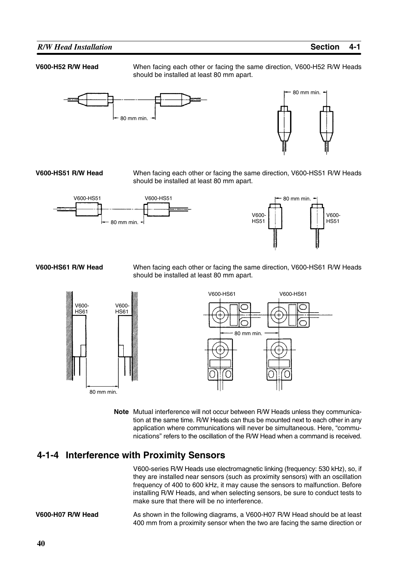#### *R/W Head Installation* **Section 4-1**

#### **V600-H52 R/W Head**

When facing each other or facing the same direction, V600-H52 R/W Heads should be installed at least 80 mm apart.





**V600-HS51 R/W Head**

When facing each other or facing the same direction, V600-HS51 R/W Heads should be installed at least 80 mm apart.





#### **V600-HS61 R/W Head**

When facing each other or facing the same direction, V600-HS61 R/W Heads should be installed at least 80 mm apart.





**Note** Mutual interference will not occur between R/W Heads unless they communication at the same time. R/W Heads can thus be mounted next to each other in any application where communications will never be simultaneous. Here, "communications" refers to the oscillation of the R/W Head when a command is received.

### **4-1-4 Interference with Proximity Sensors**

V600-series R/W Heads use electromagnetic linking (frequency: 530 kHz), so, if they are installed near sensors (such as proximity sensors) with an oscillation frequency of 400 to 600 kHz, it may cause the sensors to malfunction. Before installing R/W Heads, and when selecting sensors, be sure to conduct tests to make sure that there will be no interference.

As shown in the following diagrams, a V600-H07 R/W Head should be at least 400 mm from a proximity sensor when the two are facing the same direction or **V600-H07 R/W Head**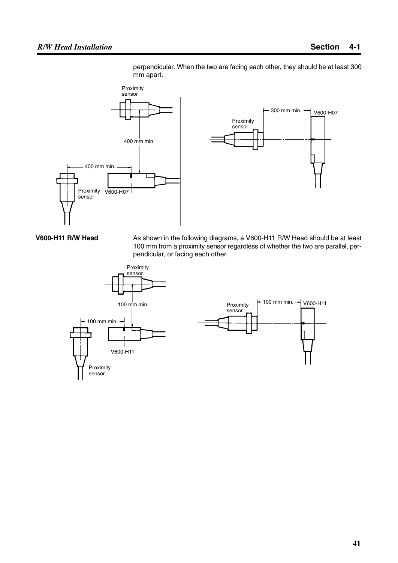

perpendicular. When the two are facing each other, they should be at least 300 mm apart.



**V600-H11 R/W Head**

As shown in the following diagrams, a V600-H11 R/W Head should be at least 100 mm from a proximity sensor regardless of whether the two are parallel, perpendicular, or facing each other.

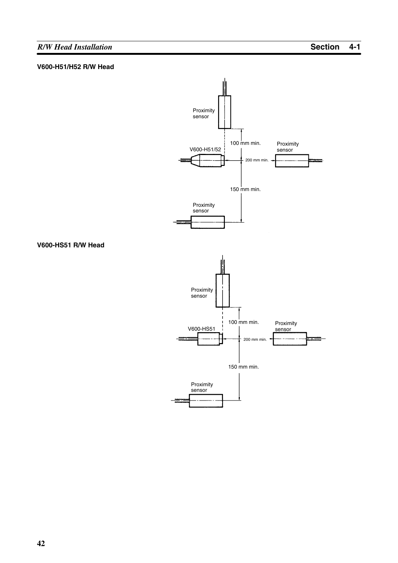## *R/W Head Installation* **Section 4-1**

#### **V600-H51/H52 R/W Head**

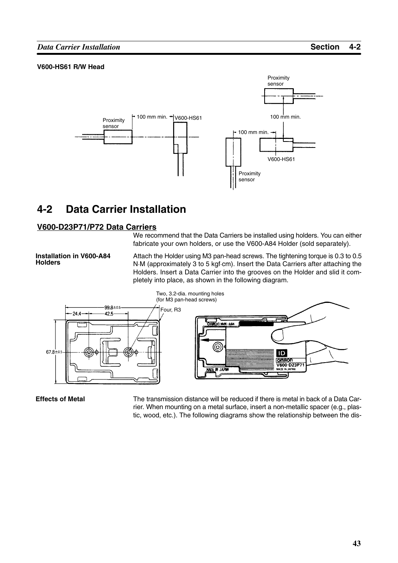#### **V600-HS61 R/W Head**



## **4-2 Data Carrier Installation**

#### **V600-D23P71/P72 Data Carriers**

We recommend that the Data Carriers be installed using holders. You can either fabricate your own holders, or use the V600-A84 Holder (sold separately).

**Installation in V600-A84 Holders**

Attach the Holder using M3 pan-head screws. The tightening torque is 0.3 to 0.5 N.M (approximately 3 to 5 kgf.cm). Insert the Data Carriers after attaching the Holders. Insert a Data Carrier into the grooves on the Holder and slid it completely into place, as shown in the following diagram.



#### **Effects of Metal**

The transmission distance will be reduced if there is metal in back of a Data Carrier. When mounting on a metal surface, insert a non-metallic spacer (e.g., plastic, wood, etc.). The following diagrams show the relationship between the dis-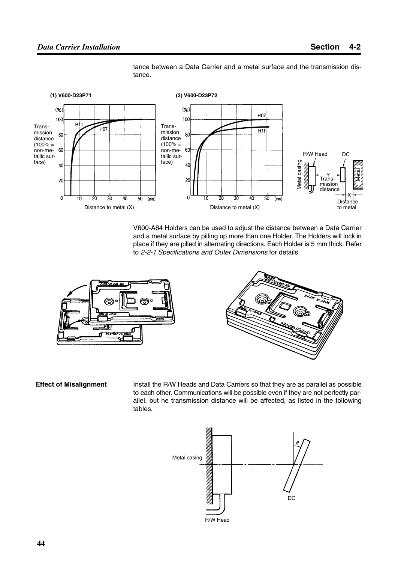

tance between a Data Carrier and a metal surface and the transmission distance.

V600-A84 Holders can be used to adjust the distance between a Data Carrier and a metal surface by pilling up more than one Holder. The Holders will lock in place if they are pilled in alternating directions. Each Holder is 5 mm thick. Refer to *2-2-1 Specifications and Outer Dimensions* for details.





**Effect of Misalignment**

Install the R/W Heads and Data Carriers so that they are as parallel as possible to each other. Communications will be possible even if they are not perfectly parallel, but he transmission distance will be affected, as listed in the following tables.

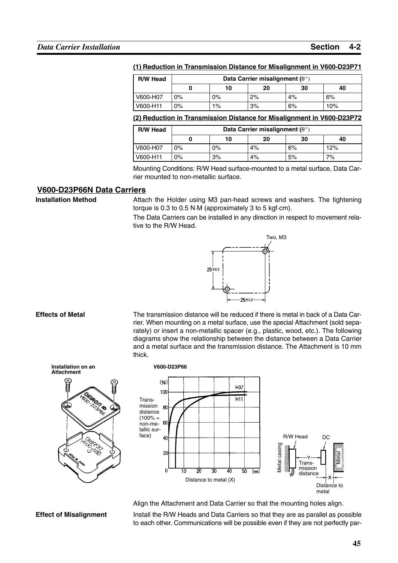#### **(1) Reduction in Transmission Distance for Misalignment in V600-D23P71**

| <b>R/W Head</b> | Data Carrier misalignment ( $\theta^{\circ}$ ) |       |    |    |     |  |
|-----------------|------------------------------------------------|-------|----|----|-----|--|
|                 |                                                | 40    |    |    |     |  |
| V600-H07        | 0%                                             | 0%    | 2% | 4% | 6%  |  |
| V600-H11        | $0\%$                                          | $1\%$ | 3% | 6% | 10% |  |

#### **(2) Reduction in Transmission Distance for Misalignment in V600-D23P72**

| <b>R/W Head</b> | Data Carrier misalignment ( $\theta^{\circ}$ ) |       |    |    |     |
|-----------------|------------------------------------------------|-------|----|----|-----|
|                 |                                                | 10    | 20 | 30 | 40  |
| V600-H07        | $0\%$                                          | $0\%$ | 4% | 6% | 12% |
| V600-H11        | $0\%$                                          | 3%    | 4% | 5% | 7%  |

Mounting Conditions: R/W Head surface-mounted to a metal surface, Data Carrier mounted to non-metallic surface.

#### **V600-D23P66N Data Carriers**

**Installation Method**

Attach the Holder using M3 pan-head screws and washers. The tightening torque is 0.3 to 0.5 NM (approximately 3 to 5 kgfcm).

The Data Carriers can be installed in any direction in respect to movement relative to the R/W Head.



#### **Effects of Metal**

**Attachment**

The transmission distance will be reduced if there is metal in back of a Data Carrier. When mounting on a metal surface, use the special Attachment (sold separately) or insert a non-metallic spacer (e.g., plastic, wood, etc.). The following diagrams show the relationship between the distance between a Data Carrier and a metal surface and the transmission distance. The Attachment is 10 mm thick.



Align the Attachment and Data Carrier so that the mounting holes align.

**Effect of Misalignment**

Install the R/W Heads and Data Carriers so that they are as parallel as possible to each other. Communications will be possible even if they are not perfectly par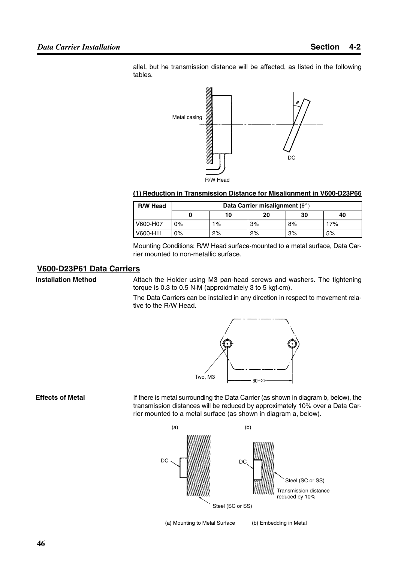allel, but he transmission distance will be affected, as listed in the following tables.



#### **(1) Reduction in Transmission Distance for Misalignment in V600-D23P66**

| <b>R/W Head</b> | Data Carrier misalignment ( $\theta^{\circ}$ ) |       |    |    |     |
|-----------------|------------------------------------------------|-------|----|----|-----|
|                 |                                                | 10    | 20 | 30 | 40  |
| V600-H07        | $0\%$                                          | $1\%$ | 3% | 8% | 17% |
| V600-H11        | $0\%$                                          | 2%    | 2% | 3% | 5%  |

Mounting Conditions: R/W Head surface-mounted to a metal surface, Data Carrier mounted to non-metallic surface.

#### **V600-D23P61 Data Carriers**

**Installation Method**

Attach the Holder using M3 pan-head screws and washers. The tightening torque is 0.3 to 0.5 N $M$  (approximately 3 to 5 kgf $cm$ ).

The Data Carriers can be installed in any direction in respect to movement relative to the R/W Head.



**Effects of Metal**

If there is metal surrounding the Data Carrier (as shown in diagram b, below), the transmission distances will be reduced by approximately 10% over a Data Carrier mounted to a metal surface (as shown in diagram a, below).



(a) Mounting to Metal Surface (b) Embedding in Metal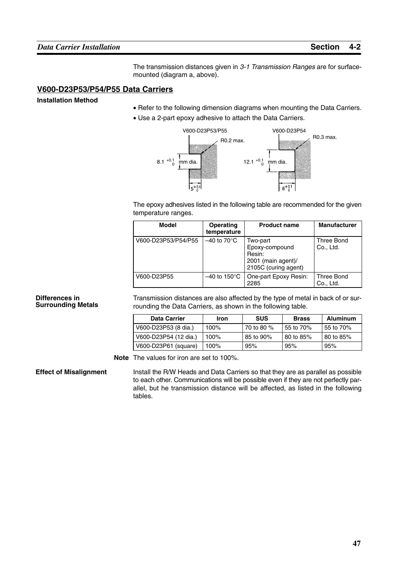The transmission distances given in *3-1 Transmission Ranges* are for surfacemounted (diagram a, above).

#### **V600-D23P53/P54/P55 Data Carriers**

**Installation Method**

- Refer to the following dimension diagrams when mounting the Data Carriers.
- Use a 2-part epoxy adhesive to attach the Data Carriers.



The epoxy adhesives listed in the following table are recommended for the given temperature ranges.

| <b>Model</b>        | <b>Operating</b><br>temperature   | <b>Product name</b>                                                                | <b>Manufacturer</b>     |
|---------------------|-----------------------------------|------------------------------------------------------------------------------------|-------------------------|
| V600-D23P53/P54/P55 | $-40$ to 70 $\mathrm{^{\circ}C}$  | Two-part<br>Epoxy-compound<br>Resin:<br>2001 (main agent)/<br>2105C (curing agent) | Three Bond<br>Co., Ltd. |
| V600-D23P55         | $-40$ to 150 $\mathrm{^{\circ}C}$ | One-part Epoxy Resin:<br>2285                                                      | Three Bond<br>Co., Ltd. |

#### **Differences in Surrounding Metals**

Transmission distances are also affected by the type of metal in back of or surrounding the Data Carriers, as shown in the following table.

| <b>Data Carrier</b>   | Iron    | <b>SUS</b> | <b>Brass</b>          | <b>Aluminum</b> |
|-----------------------|---------|------------|-----------------------|-----------------|
| V600-D23P53 (8 dia.)  | 100%    | 70 to 80 % | 55 to 70%             | 55 to 70%       |
| V600-D23P54 (12 dia.) | 100%    | 85 to 90%  | $80 \text{ to } 85\%$ | l 80 to 85%     |
| V600-D23P61 (square)  | $100\%$ | 95%        | 95%                   | 95%             |

**Note** The values for iron are set to 100%.

**Effect of Misalignment**

Install the R/W Heads and Data Carriers so that they are as parallel as possible to each other. Communications will be possible even if they are not perfectly parallel, but he transmission distance will be affected, as listed in the following tables.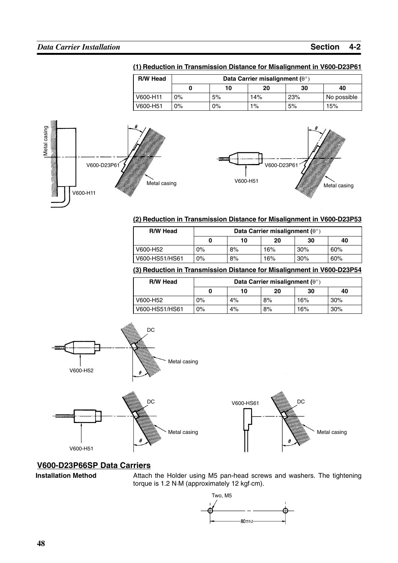| <b>R/W Head</b> | Data Carrier misalignment ( $\theta^{\circ}$ ) |                      |       |     |             |  |
|-----------------|------------------------------------------------|----------------------|-------|-----|-------------|--|
|                 |                                                | 30<br>20<br>40<br>10 |       |     |             |  |
| V600-H11        | 0%                                             | 5%                   | 14%   | 23% | No possible |  |
| V600-H51        | 0%                                             | $0\%$                | $1\%$ | 5%  | 15%         |  |





#### **(2) Reduction in Transmission Distance for Misalignment in V600-D23P53**

| <b>R/W Head</b> | Data Carrier misalignment ( $\theta^{\circ}$ ) |    |     |        |     |
|-----------------|------------------------------------------------|----|-----|--------|-----|
|                 |                                                | 10 | 20  | 30     | 40  |
| V600-H52        | 0%                                             | 8% | 16% | $30\%$ | 60% |
| V600-HS51/HS61  | $0\%$                                          | 8% | 16% | 30%    | 60% |

#### **(3) Reduction in Transmission Distance for Misalignment in V600-D23P54**

| <b>R/W Head</b> | Data Carrier misalignment ( $\theta^{\circ}$ ) |    |    |     |     |
|-----------------|------------------------------------------------|----|----|-----|-----|
|                 | 0                                              | 10 | 20 | 30  | 40  |
| V600-H52        | $0\%$                                          | 4% | 8% | 16% | 30% |
| V600-HS51/HS61  | $0\%$                                          | 4% | 8% | 16% | 30% |





#### **V600-D23P66SP Data Carriers**

**Installation Method**

Attach the Holder using M5 pan-head screws and washers. The tightening<br>torque is 1.2 N·M (approximately 12 kgf·cm).

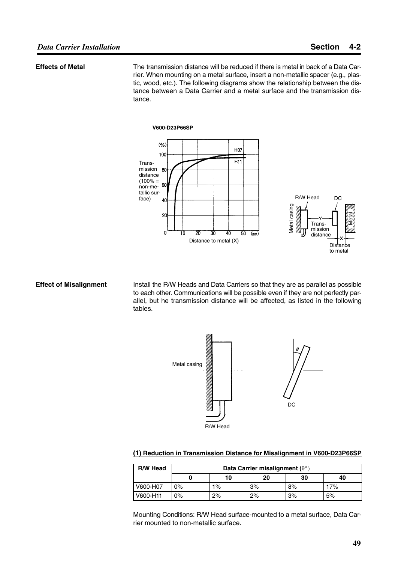#### **Effects of Metal**

The transmission distance will be reduced if there is metal in back of a Data Carrier. When mounting on a metal surface, insert a non-metallic spacer (e.g., plastic, wood, etc.). The following diagrams show the relationship between the distance between a Data Carrier and a metal surface and the transmission distance.



#### **Effect of Misalignment**

Install the R/W Heads and Data Carriers so that they are as parallel as possible to each other. Communications will be possible even if they are not perfectly parallel, but he transmission distance will be affected, as listed in the following tables.



#### **(1) Reduction in Transmission Distance for Misalignment in V600-D23P66SP**

| <b>R/W Head</b> | Data Carrier misalignment ( $\theta^{\circ}$ ) |       |    |    |     |  |
|-----------------|------------------------------------------------|-------|----|----|-----|--|
|                 |                                                | 10    | 20 | 30 | 40  |  |
| V600-H07        | $0\%$                                          | $1\%$ | 3% | 8% | 17% |  |
| V600-H11        | $0\%$                                          | 2%    | 2% | 3% | 5%  |  |

Mounting Conditions: R/W Head surface-mounted to a metal surface, Data Carrier mounted to non-metallic surface.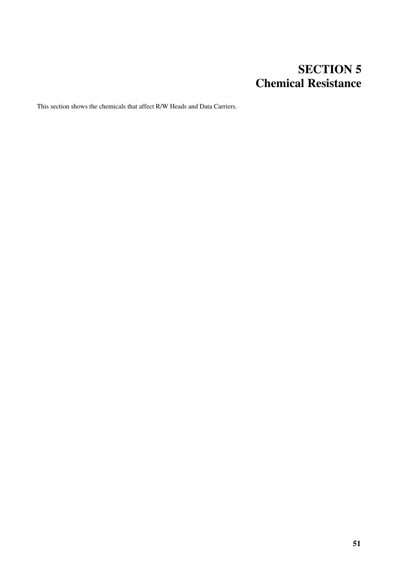## **SECTION 5 Chemical Resistance**

This section shows the chemicals that affect R/W Heads and Data Carriers.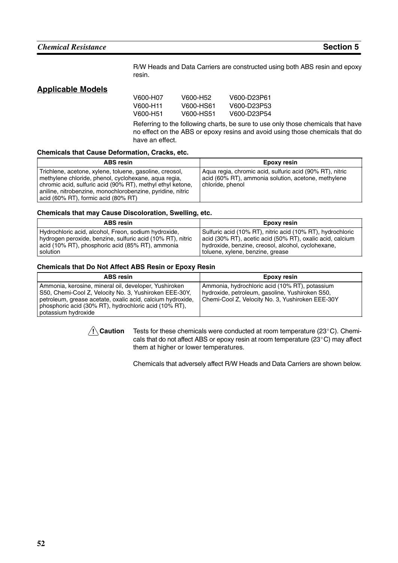R/W Heads and Data Carriers are constructed using both ABS resin and epoxy resin.

#### **Applicable Models**

| V600-H07 | V600-H52  | V600-D23P61 |
|----------|-----------|-------------|
| V600-H11 | V600-HS61 | V600-D23P53 |
| V600-H51 | V600-HS51 | V600-D23P54 |

Referring to the following charts, be sure to use only those chemicals that have no effect on the ABS or epoxy resins and avoid using those chemicals that do have an effect.

#### **Chemicals that Cause Deformation, Cracks, etc.**

| <b>ABS resin</b>                                                                                                                                                                                                                                                                   | Epoxy resin                                                                                                                         |
|------------------------------------------------------------------------------------------------------------------------------------------------------------------------------------------------------------------------------------------------------------------------------------|-------------------------------------------------------------------------------------------------------------------------------------|
| Trichlene, acetone, xylene, toluene, gasoline, creosol,<br>methylene chloride, phenol, cyclohexane, agua regia,<br>chromic acid, sulfuric acid (90% RT), methyl ethyl ketone,<br>aniline, nitrobenzine, monochlorobenzine, pyridine, nitric<br>acid (60% RT), formic acid (80% RT) | Agua regia, chromic acid, sulfuric acid (90% RT), nitric<br>acid (60% RT), ammonia solution, acetone, methylene<br>chloride, phenol |

#### **Chemicals that may Cause Discoloration, Swelling, etc.**

| <b>ABS resin</b>                                           | Epoxy resin                                                |
|------------------------------------------------------------|------------------------------------------------------------|
| Hydrochloric acid, alcohol, Freon, sodium hydroxide,       | Sulfuric acid (10% RT), nitric acid (10% RT), hydrochloric |
| hydrogen peroxide, benzine, sulfuric acid (10% RT), nitric | acid (30% RT), acetic acid (50% RT), oxalic acid, calcium  |
| acid (10% RT), phosphoric acid (85% RT), ammonia           | hydroxide, benzine, creosol, alcohol, cyclohexane,         |
| solution                                                   | toluene, xylene, benzine, grease                           |

#### **Chemicals that Do Not Affect ABS Resin or Epoxy Resin**

| <b>ABS</b> resin                                                                                                                                                                                                                                              | Epoxy resin                                                                                                                                           |
|---------------------------------------------------------------------------------------------------------------------------------------------------------------------------------------------------------------------------------------------------------------|-------------------------------------------------------------------------------------------------------------------------------------------------------|
| Ammonia, kerosine, mineral oil, developer, Yushiroken<br>S50, Chemi-Cool Z, Velocity No. 3, Yushiroken EEE-30Y,<br>petroleum, grease acetate, oxalic acid, calcium hydroxide,<br>phosphoric acid (30% RT), hydrochloric acid (10% RT),<br>potassium hydroxide | Ammonia, hydrochloric acid (10% RT), potassium<br>hydroxide, petroleum, gasoline, Yushiroken S50,<br>Chemi-Cool Z, Velocity No. 3, Yushiroken EEE-30Y |



Tests for these chemicals were conducted at room temperature (23°C). Chemicals that do not affect ABS or epoxy resin at room temperature (23 $^{\circ}$ C) may affect them at higher or lower temperatures.

Chemicals that adversely affect R/W Heads and Data Carriers are shown below.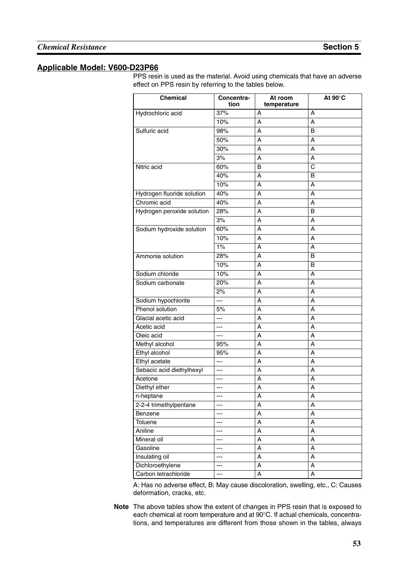## **Applicable Model: V600-D23P66**

PPS resin is used as the material. Avoid using chemicals that have an adverse effect on PPS resin by referring to the tables below.

| <b>Chemical</b>            | Concentra-<br>tion       | At room<br>temperature | At $90^\circ C$ |
|----------------------------|--------------------------|------------------------|-----------------|
| Hydrochloric acid          | 37%                      | А                      | A               |
|                            | 10%                      | A                      | A               |
| Sulfuric acid              | 98%                      | A                      | B               |
|                            | 50%                      | A                      | A               |
|                            | 30%                      | A                      | A               |
|                            | 3%                       | A                      | A               |
| Nitric acid                | 60%                      | B                      | $\mathsf C$     |
|                            | 40%                      | A                      | B               |
|                            | 10%                      | A                      | A               |
| Hydrogen fluoride solution | 40%                      | A                      | A               |
| Chromic acid               | 40%                      | A                      | A               |
| Hydrogen peroxide solution | 28%                      | A                      | B               |
|                            | 3%                       | A                      | A               |
| Sodium hydroxide solution  | 60%                      | A                      | A               |
|                            | 10%                      | A                      | A               |
|                            | 1%                       | A                      | A               |
| Ammonia solution           | 28%                      | A                      | B               |
|                            | 10%                      | A                      | B               |
| Sodium chloride            | 10%                      | A                      | A               |
| Sodium carbonate           | 20%                      | Α                      | A               |
|                            | 2%                       | A                      | A               |
| Sodium hypochlorite        | ---                      | A                      | A               |
| Phenol solution            | 5%                       | A                      | A               |
| Glacial acetic acid        | ---                      | A                      | A               |
| Acetic acid                | ---                      | A                      | A               |
| Oleic acid                 | ---                      | A                      | A               |
| Methyl alcohol             | 95%                      | A                      | A               |
| Ethyl alcohol              | 95%                      | A                      | A               |
| Ethyl acetate              | ---                      | A                      | A               |
| Sebacic acid diethylhexyl  | ---                      | A                      | A               |
| Acetone                    | ---                      | А                      | A               |
| Diethyl ether              | ---                      | A                      | A               |
| n-heptane                  | ---                      | А                      | A               |
| 2-2-4 trimethylpentane     | ---                      | Α                      | A               |
| Benzene                    | ---                      | Α                      | A               |
| Toluene                    | ---                      | A                      | A               |
| Aniline                    | ---                      | Α                      | A               |
| Mineral oil                | ---                      | А                      | A               |
| Gasoline                   | ---                      | A                      | A               |
| Insulating oil             | ---                      | A                      | A               |
| Dichloroethylene           | $\hspace{0.05cm} \ldots$ | A                      | A               |
| Carbon tetrachloride       | ---                      | A                      | A               |

A: Has no adverse effect, B: May cause discoloration, swelling, etc., C: Causes deformation, cracks, etc.

**Note** The above tables show the extent of changes in PPS resin that is exposed to each chemical at room temperature and at 90°C. If actual chemicals, concentrations, and temperatures are different from those shown in the tables, always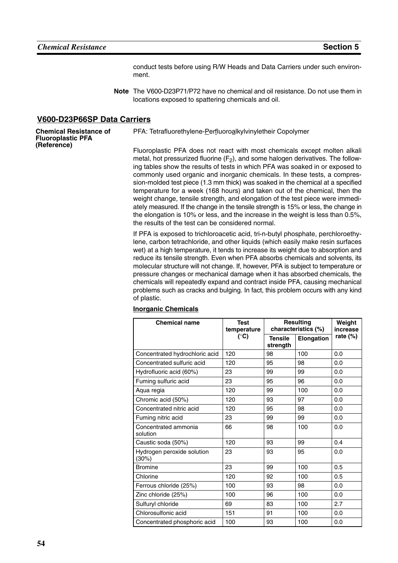conduct tests before using R/W Heads and Data Carriers under such environment.

**Note** The V600-D23P71/P72 have no chemical and oil resistance. Do not use them in locations exposed to spattering chemicals and oil.

#### **V600-D23P66SP Data Carriers**

**Chemical Resistance of Fluoroplastic PFA (Reference)**

PFA: Tetrafluorethylene-Perfluoroalkylvinyletheir Copolymer

Fluoroplastic PFA does not react with most chemicals except molten alkali metal, hot pressurized fluorine  $(F_2)$ , and some halogen derivatives. The following tables show the results of tests in which PFA was soaked in or exposed to commonly used organic and inorganic chemicals. In these tests, a compression-molded test piece (1.3 mm thick) was soaked in the chemical at a specified temperature for a week (168 hours) and taken out of the chemical, then the weight change, tensile strength, and elongation of the test piece were immediately measured. If the change in the tensile strength is 15% or less, the change in the elongation is 10% or less, and the increase in the weight is less than 0.5%, the results of the test can be considered normal.

If PFA is exposed to trichloroacetic acid, tri-n-butyl phosphate, perchloroethylene, carbon tetrachloride, and other liquids (which easily make resin surfaces wet) at a high temperature, it tends to increase its weight due to absorption and reduce its tensile strength. Even when PFA absorbs chemicals and solvents, its molecular structure will not change. If, however, PFA is subject to temperature or pressure changes or mechanical damage when it has absorbed chemicals, the chemicals will repeatedly expand and contract inside PFA, causing mechanical problems such as cracks and bulging. In fact, this problem occurs with any kind of plastic.

| <b>Chemical name</b>                | <b>Test</b><br>temperature | <b>Resulting</b><br>characteristics (%) |            | Weight<br>increase |
|-------------------------------------|----------------------------|-----------------------------------------|------------|--------------------|
|                                     | $(^{\circ}C)$              | <b>Tensile</b><br>strength              | Elongation | rate $(\%)$        |
| Concentrated hydrochloric acid      | 120                        | 98                                      | 100        | 0.0                |
| Concentrated sulfuric acid          | 120                        | 95                                      | 98         | 0.0                |
| Hydrofluoric acid (60%)             | 23                         | 99                                      | 99         | 0.0                |
| Fuming sulfuric acid                | 23                         | 95                                      | 96         | 0.0                |
| Aqua regia                          | 120                        | 99                                      | 100        | 0.0                |
| Chromic acid (50%)                  | 120                        | 93                                      | 97         | 0.0                |
| Concentrated nitric acid            | 120                        | 95                                      | 98         | 0.0                |
| Fuming nitric acid                  | 23                         | 99                                      | 99         | 0.0                |
| Concentrated ammonia<br>solution    | 66                         | 98                                      | 100        | 0.0                |
| Caustic soda (50%)                  | 120                        | 93                                      | 99         | 0.4                |
| Hydrogen peroxide solution<br>(30%) | 23                         | 93                                      | 95         | 0.0                |
| <b>Bromine</b>                      | 23                         | 99                                      | 100        | 0.5                |
| Chlorine                            | 120                        | 92                                      | 100        | 0.5                |
| Ferrous chloride (25%)              | 100                        | 93                                      | 98         | 0.0                |
| Zinc chloride (25%)                 | 100                        | 96                                      | 100        | 0.0                |
| Sulfuryl chloride                   | 69                         | 83                                      | 100        | 2.7                |
| Chlorosulfonic acid                 | 151                        | 91                                      | 100        | 0.0                |
| Concentrated phosphoric acid        | 100                        | 93                                      | 100        | 0.0                |

#### **Inorganic Chemicals**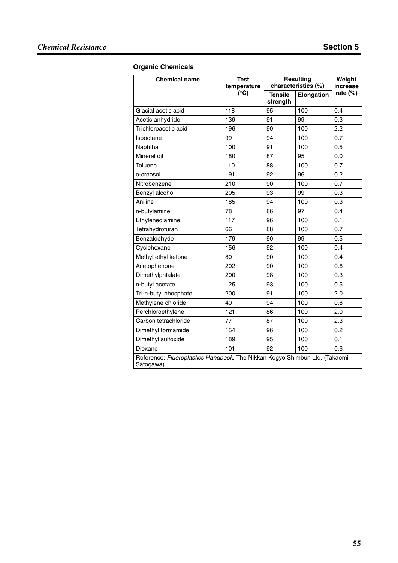## **Chemical Resistance Section 5**

#### **Organic Chemicals**

| <b>Chemical name</b>                                                                    | <b>Test</b><br>temperature |                            | <b>Resulting</b><br>characteristics (%) |             |
|-----------------------------------------------------------------------------------------|----------------------------|----------------------------|-----------------------------------------|-------------|
|                                                                                         | $(^{\circ}C)$              | <b>Tensile</b><br>strength | Elongation                              | rate $(\%)$ |
| Glacial acetic acid                                                                     | 118                        | 95                         | 100                                     | 0.4         |
| Acetic anhydride                                                                        | 139                        | 91                         | 99                                      | 0.3         |
| Trichloroacetic acid                                                                    | 196                        | 90                         | 100                                     | 2.2         |
| Isooctane                                                                               | 99                         | 94                         | 100                                     | 0.7         |
| Naphtha                                                                                 | 100                        | 91                         | 100                                     | 0.5         |
| Mineral oil                                                                             | 180                        | 87                         | 95                                      | 0.0         |
| Toluene                                                                                 | 110                        | 88                         | 100                                     | 0.7         |
| o-creosol                                                                               | 191                        | 92                         | 96                                      | 0.2         |
| Nitrobenzene                                                                            | 210                        | 90                         | 100                                     | 0.7         |
| Benzyl alcohol                                                                          | 205                        | 93                         | 99                                      | 0.3         |
| Aniline                                                                                 | 185                        | 94                         | 100                                     | 0.3         |
| n-butylamine                                                                            | 78                         | 86                         | 97                                      | 0.4         |
| Ethylenediamine                                                                         | 117                        | 96                         | 100                                     | 0.1         |
| Tetrahydrofuran                                                                         | 66                         | 88                         | 100                                     | 0.7         |
| Benzaldehyde                                                                            | 179                        | 90                         | 99                                      | 0.5         |
| Cyclohexane                                                                             | 156                        | 92                         | 100                                     | 0.4         |
| Methyl ethyl ketone                                                                     | 80                         | 90                         | 100                                     | 0.4         |
| Acetophenone                                                                            | 202                        | 90                         | 100                                     | 0.6         |
| Dimethylphtalate                                                                        | 200                        | 98                         | 100                                     | 0.3         |
| n-butyl acetate                                                                         | 125                        | 93                         | 100                                     | 0.5         |
| Tri-n-butyl phosphate                                                                   | 200                        | 91                         | 100                                     | 2.0         |
| Methylene chloride                                                                      | 40                         | 94                         | 100                                     | 0.8         |
| Perchloroethylene                                                                       | 121                        | 86                         | 100                                     | 2.0         |
| Carbon tetrachloride                                                                    | 77                         | 87                         | 100                                     | 2.3         |
| Dimethyl formamide                                                                      | 154                        | 96                         | 100                                     | 0.2         |
| Dimethyl sulfoxide                                                                      | 189                        | 95                         | 100                                     | 0.1         |
| Dioxane                                                                                 | 101                        | 92                         | 100                                     | 0.6         |
| Reference: Fluoroplastics Handbook, The Nikkan Kogyo Shimbun Ltd. (Takaomi<br>Satogawa) |                            |                            |                                         |             |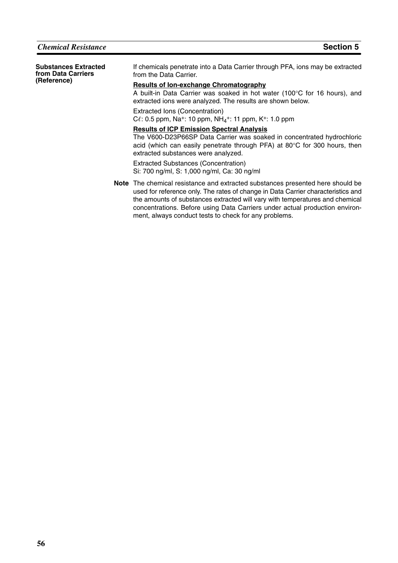| <b>Substances Extracted</b><br>from Data Carriers<br>(Reference) | If chemicals penetrate into a Data Carrier through PFA, ions may be extracted<br>from the Data Carrier.                                                                                                                                                                                                                                                                                    |
|------------------------------------------------------------------|--------------------------------------------------------------------------------------------------------------------------------------------------------------------------------------------------------------------------------------------------------------------------------------------------------------------------------------------------------------------------------------------|
|                                                                  | <b>Results of lon-exchange Chromatography</b><br>A built-in Data Carrier was soaked in hot water (100°C for 16 hours), and<br>extracted ions were analyzed. The results are shown below.                                                                                                                                                                                                   |
|                                                                  | Extracted Ions (Concentration)<br>$C\ell$ : 0.5 ppm, Na <sup>+</sup> : 10 ppm, NH <sub>4</sub> <sup>+</sup> : 11 ppm, K <sup>+</sup> : 1.0 ppm                                                                                                                                                                                                                                             |
|                                                                  | <b>Results of ICP Emission Spectral Analysis</b><br>The V600-D23P66SP Data Carrier was soaked in concentrated hydrochloric<br>acid (which can easily penetrate through PFA) at $80^{\circ}$ C for 300 hours, then<br>extracted substances were analyzed.<br><b>Extracted Substances (Concentration)</b>                                                                                    |
|                                                                  | Si: 700 ng/ml, S: 1,000 ng/ml, Ca: 30 ng/ml                                                                                                                                                                                                                                                                                                                                                |
|                                                                  | Note The chemical resistance and extracted substances presented here should be<br>used for reference only. The rates of change in Data Carrier characteristics and<br>the amounts of substances extracted will vary with temperatures and chemical<br>concentrations. Before using Data Carriers under actual production environ-<br>ment, always conduct tests to check for any problems. |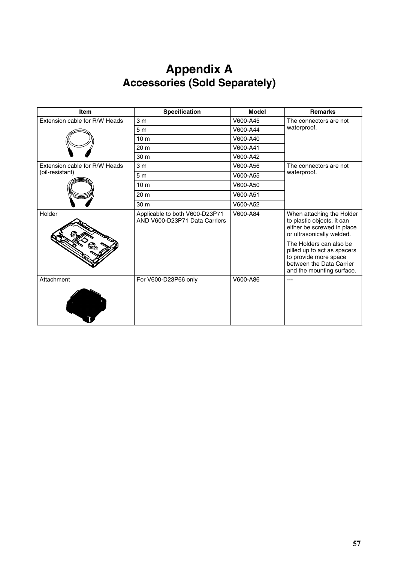## **Appendix A Accessories (Sold Separately)**

| Item                          | Specification                                                   | <b>Model</b> | <b>Remarks</b>                                                                                                                           |
|-------------------------------|-----------------------------------------------------------------|--------------|------------------------------------------------------------------------------------------------------------------------------------------|
| Extension cable for R/W Heads | 3 <sub>m</sub>                                                  | V600-A45     | The connectors are not                                                                                                                   |
|                               | 5 <sub>m</sub>                                                  | V600-A44     | waterproof.                                                                                                                              |
|                               | 10 <sub>m</sub>                                                 | V600-A40     |                                                                                                                                          |
|                               | 20 <sub>m</sub>                                                 | V600-A41     |                                                                                                                                          |
|                               | 30 <sub>m</sub>                                                 | V600-A42     |                                                                                                                                          |
| Extension cable for R/W Heads | 3 <sub>m</sub>                                                  | V600-A56     | The connectors are not                                                                                                                   |
| (oil-resistant)               | 5 <sub>m</sub>                                                  | V600-A55     | waterproof.                                                                                                                              |
|                               | 10 <sub>m</sub>                                                 | V600-A50     |                                                                                                                                          |
|                               | 20 <sub>m</sub>                                                 | V600-A51     |                                                                                                                                          |
|                               | 30 m                                                            | V600-A52     |                                                                                                                                          |
| Holder                        | Applicable to both V600-D23P71<br>AND V600-D23P71 Data Carriers | V600-A84     | When attaching the Holder<br>to plastic objects, it can<br>either be screwed in place<br>or ultrasonically welded.                       |
|                               |                                                                 |              | The Holders can also be<br>pilled up to act as spacers<br>to provide more space<br>between the Data Carrier<br>and the mounting surface. |
| Attachment                    | For V600-D23P66 only                                            | V600-A86     | ---                                                                                                                                      |